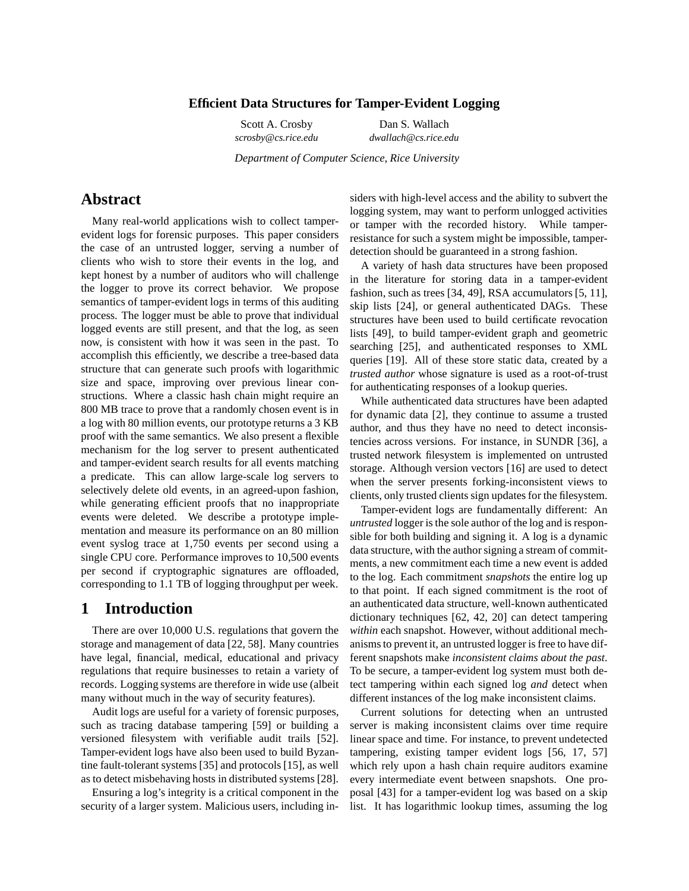#### **Efficient Data Structures for Tamper-Evident Logging**

Scott A. Crosby Dan S. Wallach *scrosby@cs.rice.edu dwallach@cs.rice.edu*

*Department of Computer Science, Rice University*

# **Abstract**

Many real-world applications wish to collect tamperevident logs for forensic purposes. This paper considers the case of an untrusted logger, serving a number of clients who wish to store their events in the log, and kept honest by a number of auditors who will challenge the logger to prove its correct behavior. We propose semantics of tamper-evident logs in terms of this auditing process. The logger must be able to prove that individual logged events are still present, and that the log, as seen now, is consistent with how it was seen in the past. To accomplish this efficiently, we describe a tree-based data structure that can generate such proofs with logarithmic size and space, improving over previous linear constructions. Where a classic hash chain might require an 800 MB trace to prove that a randomly chosen event is in a log with 80 million events, our prototype returns a 3 KB proof with the same semantics. We also present a flexible mechanism for the log server to present authenticated and tamper-evident search results for all events matching a predicate. This can allow large-scale log servers to selectively delete old events, in an agreed-upon fashion, while generating efficient proofs that no inappropriate events were deleted. We describe a prototype implementation and measure its performance on an 80 million event syslog trace at 1,750 events per second using a single CPU core. Performance improves to 10,500 events per second if cryptographic signatures are offloaded, corresponding to 1.1 TB of logging throughput per week.

# **1 Introduction**

There are over 10,000 U.S. regulations that govern the storage and management of data [22, 58]. Many countries have legal, financial, medical, educational and privacy regulations that require businesses to retain a variety of records. Logging systems are therefore in wide use (albeit many without much in the way of security features).

Audit logs are useful for a variety of forensic purposes, such as tracing database tampering [59] or building a versioned filesystem with verifiable audit trails [52]. Tamper-evident logs have also been used to build Byzantine fault-tolerant systems [35] and protocols [15], as well as to detect misbehaving hosts in distributed systems [28].

Ensuring a log's integrity is a critical component in the security of a larger system. Malicious users, including in-

siders with high-level access and the ability to subvert the logging system, may want to perform unlogged activities or tamper with the recorded history. While tamperresistance for such a system might be impossible, tamperdetection should be guaranteed in a strong fashion.

A variety of hash data structures have been proposed in the literature for storing data in a tamper-evident fashion, such as trees [34, 49], RSA accumulators [5, 11], skip lists [24], or general authenticated DAGs. These structures have been used to build certificate revocation lists [49], to build tamper-evident graph and geometric searching [25], and authenticated responses to XML queries [19]. All of these store static data, created by a *trusted author* whose signature is used as a root-of-trust for authenticating responses of a lookup queries.

While authenticated data structures have been adapted for dynamic data [2], they continue to assume a trusted author, and thus they have no need to detect inconsistencies across versions. For instance, in SUNDR [36], a trusted network filesystem is implemented on untrusted storage. Although version vectors [16] are used to detect when the server presents forking-inconsistent views to clients, only trusted clients sign updates for the filesystem.

Tamper-evident logs are fundamentally different: An *untrusted* logger is the sole author of the log and is responsible for both building and signing it. A log is a dynamic data structure, with the author signing a stream of commitments, a new commitment each time a new event is added to the log. Each commitment *snapshots* the entire log up to that point. If each signed commitment is the root of an authenticated data structure, well-known authenticated dictionary techniques [62, 42, 20] can detect tampering *within* each snapshot. However, without additional mechanisms to prevent it, an untrusted logger is free to have different snapshots make *inconsistent claims about the past*. To be secure, a tamper-evident log system must both detect tampering within each signed log *and* detect when different instances of the log make inconsistent claims.

Current solutions for detecting when an untrusted server is making inconsistent claims over time require linear space and time. For instance, to prevent undetected tampering, existing tamper evident logs [56, 17, 57] which rely upon a hash chain require auditors examine every intermediate event between snapshots. One proposal [43] for a tamper-evident log was based on a skip list. It has logarithmic lookup times, assuming the log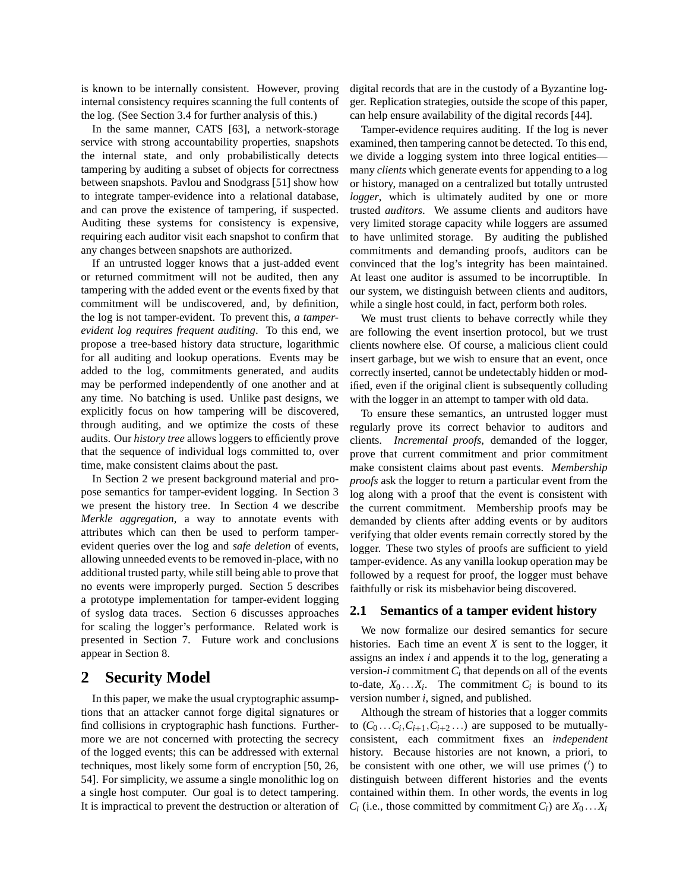is known to be internally consistent. However, proving internal consistency requires scanning the full contents of the log. (See Section 3.4 for further analysis of this.)

In the same manner, CATS [63], a network-storage service with strong accountability properties, snapshots the internal state, and only probabilistically detects tampering by auditing a subset of objects for correctness between snapshots. Pavlou and Snodgrass [51] show how to integrate tamper-evidence into a relational database, and can prove the existence of tampering, if suspected. Auditing these systems for consistency is expensive, requiring each auditor visit each snapshot to confirm that any changes between snapshots are authorized.

If an untrusted logger knows that a just-added event or returned commitment will not be audited, then any tampering with the added event or the events fixed by that commitment will be undiscovered, and, by definition, the log is not tamper-evident. To prevent this, *a tamperevident log requires frequent auditing*. To this end, we propose a tree-based history data structure, logarithmic for all auditing and lookup operations. Events may be added to the log, commitments generated, and audits may be performed independently of one another and at any time. No batching is used. Unlike past designs, we explicitly focus on how tampering will be discovered, through auditing, and we optimize the costs of these audits. Our *history tree* allows loggers to efficiently prove that the sequence of individual logs committed to, over time, make consistent claims about the past.

In Section 2 we present background material and propose semantics for tamper-evident logging. In Section 3 we present the history tree. In Section 4 we describe *Merkle aggregation*, a way to annotate events with attributes which can then be used to perform tamperevident queries over the log and *safe deletion* of events, allowing unneeded events to be removed in-place, with no additional trusted party, while still being able to prove that no events were improperly purged. Section 5 describes a prototype implementation for tamper-evident logging of syslog data traces. Section 6 discusses approaches for scaling the logger's performance. Related work is presented in Section 7. Future work and conclusions appear in Section 8.

# **2 Security Model**

In this paper, we make the usual cryptographic assumptions that an attacker cannot forge digital signatures or find collisions in cryptographic hash functions. Furthermore we are not concerned with protecting the secrecy of the logged events; this can be addressed with external techniques, most likely some form of encryption [50, 26, 54]. For simplicity, we assume a single monolithic log on a single host computer. Our goal is to detect tampering. It is impractical to prevent the destruction or alteration of digital records that are in the custody of a Byzantine logger. Replication strategies, outside the scope of this paper, can help ensure availability of the digital records [44].

Tamper-evidence requires auditing. If the log is never examined, then tampering cannot be detected. To this end, we divide a logging system into three logical entities many *clients* which generate events for appending to a log or history, managed on a centralized but totally untrusted *logger*, which is ultimately audited by one or more trusted *auditors*. We assume clients and auditors have very limited storage capacity while loggers are assumed to have unlimited storage. By auditing the published commitments and demanding proofs, auditors can be convinced that the log's integrity has been maintained. At least one auditor is assumed to be incorruptible. In our system, we distinguish between clients and auditors, while a single host could, in fact, perform both roles.

We must trust clients to behave correctly while they are following the event insertion protocol, but we trust clients nowhere else. Of course, a malicious client could insert garbage, but we wish to ensure that an event, once correctly inserted, cannot be undetectably hidden or modified, even if the original client is subsequently colluding with the logger in an attempt to tamper with old data.

To ensure these semantics, an untrusted logger must regularly prove its correct behavior to auditors and clients. *Incremental proofs*, demanded of the logger, prove that current commitment and prior commitment make consistent claims about past events. *Membership proofs* ask the logger to return a particular event from the log along with a proof that the event is consistent with the current commitment. Membership proofs may be demanded by clients after adding events or by auditors verifying that older events remain correctly stored by the logger. These two styles of proofs are sufficient to yield tamper-evidence. As any vanilla lookup operation may be followed by a request for proof, the logger must behave faithfully or risk its misbehavior being discovered.

#### **2.1 Semantics of a tamper evident history**

We now formalize our desired semantics for secure histories. Each time an event *X* is sent to the logger, it assigns an index *i* and appends it to the log, generating a version- $i$  commitment  $C_i$  that depends on all of the events to-date,  $X_0 \ldots X_i$ . The commitment  $C_i$  is bound to its version number *i*, signed, and published.

Although the stream of histories that a logger commits to  $(C_0 \ldots C_i, C_{i+1}, C_{i+2} \ldots)$  are supposed to be mutuallyconsistent, each commitment fixes an *independent* history. Because histories are not known, a priori, to be consistent with one other, we will use primes (′ ) to distinguish between different histories and the events contained within them. In other words, the events in log  $C_i$  (i.e., those committed by commitment  $C_i$ ) are  $X_0 \ldots X_i$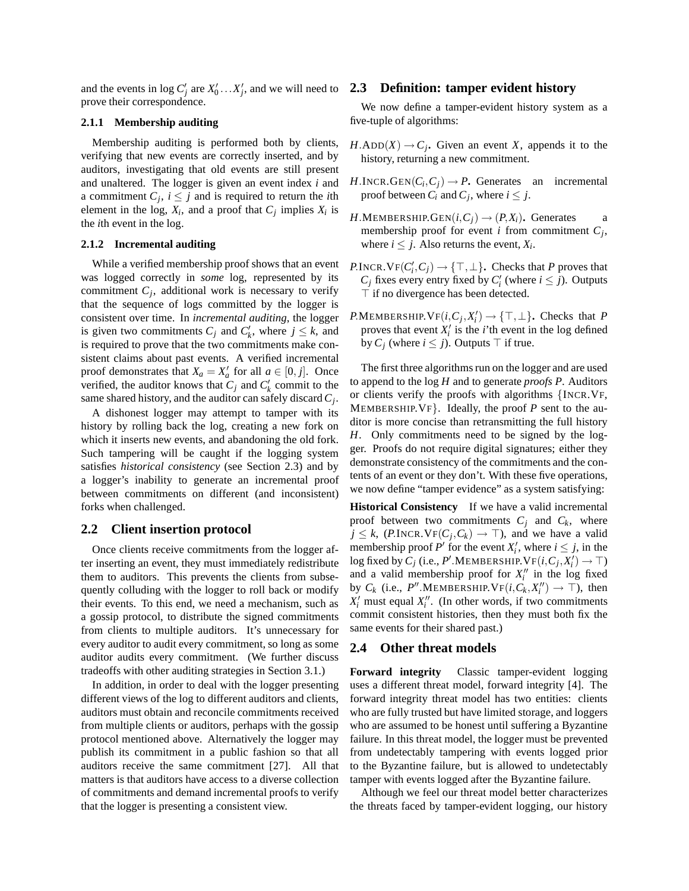and the events in log  $C'_j$  are  $X'_0 \ldots X'_j$ , and we will need to **2.3 Definition: tamper evident history** prove their correspondence.

#### **2.1.1 Membership auditing**

Membership auditing is performed both by clients, verifying that new events are correctly inserted, and by auditors, investigating that old events are still present and unaltered. The logger is given an event index *i* and a commitment  $C_j$ ,  $i \leq j$  and is required to return the *i*th element in the log,  $X_i$ , and a proof that  $C_j$  implies  $X_i$  is the *i*th event in the log.

#### **2.1.2 Incremental auditing**

While a verified membership proof shows that an event was logged correctly in *some* log, represented by its commitment  $C_j$ , additional work is necessary to verify that the sequence of logs committed by the logger is consistent over time. In *incremental auditing*, the logger is given two commitments  $C_j$  and  $C'_k$ , where  $j \leq k$ , and is required to prove that the two commitments make consistent claims about past events. A verified incremental proof demonstrates that  $X_a = X'_a$  for all  $a \in [0, j]$ . Once verified, the auditor knows that  $C_j$  and  $C'_k$  commit to the same shared history, and the auditor can safely discard*C<sup>j</sup>* .

A dishonest logger may attempt to tamper with its history by rolling back the log, creating a new fork on which it inserts new events, and abandoning the old fork. Such tampering will be caught if the logging system satisfies *historical consistency* (see Section 2.3) and by a logger's inability to generate an incremental proof between commitments on different (and inconsistent) forks when challenged.

#### **2.2 Client insertion protocol**

Once clients receive commitments from the logger after inserting an event, they must immediately redistribute them to auditors. This prevents the clients from subsequently colluding with the logger to roll back or modify their events. To this end, we need a mechanism, such as a gossip protocol, to distribute the signed commitments from clients to multiple auditors. It's unnecessary for every auditor to audit every commitment, so long as some auditor audits every commitment. (We further discuss tradeoffs with other auditing strategies in Section 3.1.)

In addition, in order to deal with the logger presenting different views of the log to different auditors and clients, auditors must obtain and reconcile commitments received from multiple clients or auditors, perhaps with the gossip protocol mentioned above. Alternatively the logger may publish its commitment in a public fashion so that all auditors receive the same commitment [27]. All that matters is that auditors have access to a diverse collection of commitments and demand incremental proofs to verify that the logger is presenting a consistent view.

We now define a tamper-evident history system as a five-tuple of algorithms:

- $H$ .ADD( $X$ )  $\rightarrow$   $C_j$ . Given an event *X*, appends it to the history, returning a new commitment.
- $H.\text{INCR}.\text{GEN}(C_i, C_j) \rightarrow P$ . Generates an incremental proof between  $C_i$  and  $C_j$ , where  $i \leq j$ .
- $H$ .MEMBERSHIP.GEN $(i, C_i) \rightarrow (P, X_i)$ . Generates a membership proof for event *i* from commitment *C<sup>j</sup>* , where  $i \leq j$ . Also returns the event,  $X_i$ .
- *P*.INCR.  $VF(C_i', C_j) \rightarrow \{\top, \bot\}$ . Checks that *P* proves that *C*<sub>*j*</sub> fixes every entry fixed by *C*<sup> $\prime$ </sup><sub>*i*</sub> (where *i*  $\leq$  *j*). Outputs ⊤ if no divergence has been detected.
- $P$ .MEMBERSHIP.  $VF(i, C_j, X'_i) \rightarrow \{\top, \bot\}$ . Checks that *P* proves that event  $X_i'$  is the *i*'th event in the log defined by  $C_i$  (where  $i \leq j$ ). Outputs ⊤ if true.

The first three algorithms run on the logger and are used to append to the log *H* and to generate *proofs P*. Auditors or clients verify the proofs with algorithms {INCR.VF, MEMBERSHIP.VF}. Ideally, the proof *P* sent to the auditor is more concise than retransmitting the full history *H*. Only commitments need to be signed by the logger. Proofs do not require digital signatures; either they demonstrate consistency of the commitments and the contents of an event or they don't. With these five operations, we now define "tamper evidence" as a system satisfying:

**Historical Consistency** If we have a valid incremental proof between two commitments  $C_j$  and  $C_k$ , where  $j \leq k$ , (P.INCR.VF( $C_j$ , $C_k$ )  $\rightarrow \top$ ), and we have a valid membership proof  $P'$  for the event  $X'_i$ , where  $i \leq j$ , in the  $\log$  fixed by  $C_j$  (i.e.,  $P'$ .MEMBERSHIP.VF $(i, C_j, X'_i) \rightarrow \top$ ) and a valid membership proof for  $X_i''$  in the log fixed by  $C_k$  (i.e.,  $P''$ . MEMBERSHIP.  $VF(i, C_k, X''_i) \rightarrow \top$ ), then  $X_i'$  must equal  $X_i''$ . (In other words, if two commitments commit consistent histories, then they must both fix the same events for their shared past.)

#### **2.4 Other threat models**

**Forward integrity** Classic tamper-evident logging uses a different threat model, forward integrity [4]. The forward integrity threat model has two entities: clients who are fully trusted but have limited storage, and loggers who are assumed to be honest until suffering a Byzantine failure. In this threat model, the logger must be prevented from undetectably tampering with events logged prior to the Byzantine failure, but is allowed to undetectably tamper with events logged after the Byzantine failure.

Although we feel our threat model better characterizes the threats faced by tamper-evident logging, our history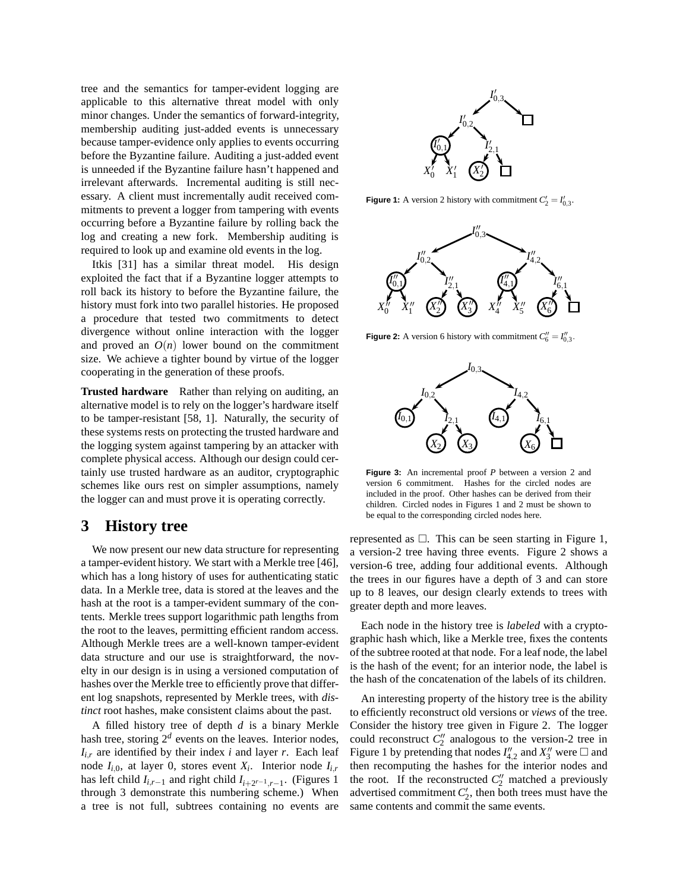tree and the semantics for tamper-evident logging are applicable to this alternative threat model with only minor changes. Under the semantics of forward-integrity, membership auditing just-added events is unnecessary because tamper-evidence only applies to events occurring before the Byzantine failure. Auditing a just-added event is unneeded if the Byzantine failure hasn't happened and irrelevant afterwards. Incremental auditing is still necessary. A client must incrementally audit received commitments to prevent a logger from tampering with events occurring before a Byzantine failure by rolling back the log and creating a new fork. Membership auditing is required to look up and examine old events in the log.

Itkis [31] has a similar threat model. His design exploited the fact that if a Byzantine logger attempts to roll back its history to before the Byzantine failure, the history must fork into two parallel histories. He proposed a procedure that tested two commitments to detect divergence without online interaction with the logger and proved an  $O(n)$  lower bound on the commitment size. We achieve a tighter bound by virtue of the logger cooperating in the generation of these proofs.

**Trusted hardware** Rather than relying on auditing, an alternative model is to rely on the logger's hardware itself to be tamper-resistant [58, 1]. Naturally, the security of these systems rests on protecting the trusted hardware and the logging system against tampering by an attacker with complete physical access. Although our design could certainly use trusted hardware as an auditor, cryptographic schemes like ours rest on simpler assumptions, namely the logger can and must prove it is operating correctly.

## **3 History tree**

We now present our new data structure for representing a tamper-evident history. We start with a Merkle tree [46], which has a long history of uses for authenticating static data. In a Merkle tree, data is stored at the leaves and the hash at the root is a tamper-evident summary of the contents. Merkle trees support logarithmic path lengths from the root to the leaves, permitting efficient random access. Although Merkle trees are a well-known tamper-evident data structure and our use is straightforward, the novelty in our design is in using a versioned computation of hashes over the Merkle tree to efficiently prove that different log snapshots, represented by Merkle trees, with *distinct* root hashes, make consistent claims about the past.

A filled history tree of depth *d* is a binary Merkle hash tree, storing  $2^d$  events on the leaves. Interior nodes,  $I_{i,r}$  are identified by their index *i* and layer *r*. Each leaf node *Ii*,0, at layer 0, stores event *X<sup>i</sup>* . Interior node *Ii*,*<sup>r</sup>* has left child  $I_{i,r-1}$  and right child  $I_{i+2^{r-1},r-1}$ . (Figures 1 through 3 demonstrate this numbering scheme.) When a tree is not full, subtrees containing no events are



**Figure 1:** A version 2 history with commitment  $C'_2 = I'_{0,3}$ .



**Figure 2:** A version 6 history with commitment  $C''_6 = I''_{0,3}$ .



**Figure 3:** An incremental proof *P* between a version 2 and version 6 commitment. Hashes for the circled nodes are included in the proof. Other hashes can be derived from their children. Circled nodes in Figures 1 and 2 must be shown to be equal to the corresponding circled nodes here.

represented as  $\Box$ . This can be seen starting in Figure 1, a version-2 tree having three events. Figure 2 shows a version-6 tree, adding four additional events. Although the trees in our figures have a depth of 3 and can store up to 8 leaves, our design clearly extends to trees with greater depth and more leaves.

Each node in the history tree is *labeled* with a cryptographic hash which, like a Merkle tree, fixes the contents of the subtree rooted at that node. For a leaf node, the label is the hash of the event; for an interior node, the label is the hash of the concatenation of the labels of its children.

An interesting property of the history tree is the ability to efficiently reconstruct old versions or *views* of the tree. Consider the history tree given in Figure 2. The logger could reconstruct  $C_2''$  analogous to the version-2 tree in Figure 1 by pretending that nodes  $I''_{4,2}$  and  $X''_3$  were  $\Box$  and then recomputing the hashes for the interior nodes and the root. If the reconstructed  $C''_2$  matched a previously advertised commitment  $C_2'$ , then both trees must have the same contents and commit the same events.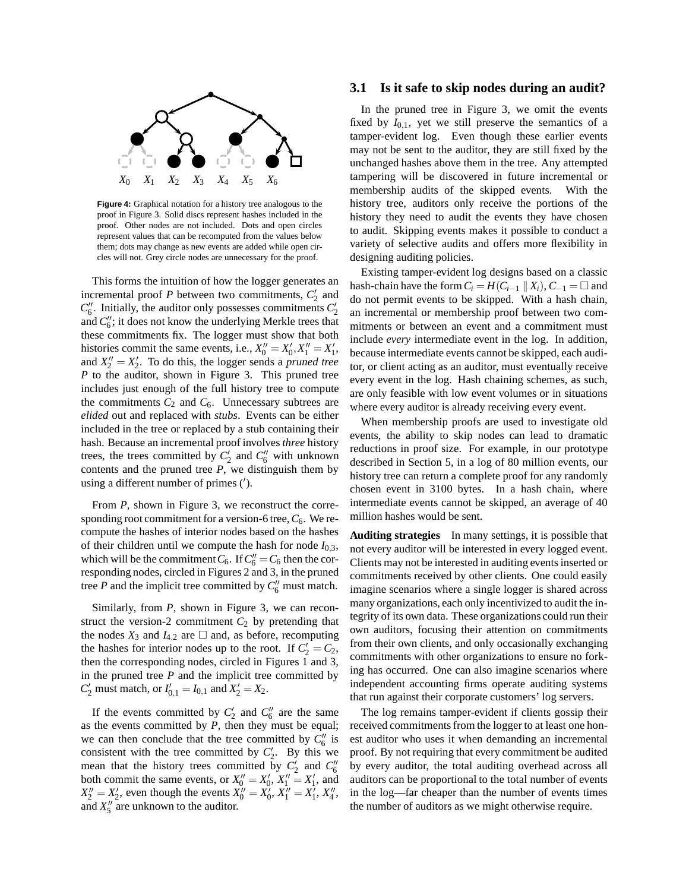

**Figure 4:** Graphical notation for a history tree analogous to the proof in Figure 3. Solid discs represent hashes included in the proof. Other nodes are not included. Dots and open circles represent values that can be recomputed from the values below them; dots may change as new events are added while open circles will not. Grey circle nodes are unnecessary for the proof.

This forms the intuition of how the logger generates an incremental proof  $P$  between two commitments,  $C_2'$  and  $C_6^{\prime\prime}$ . Initially, the auditor only possesses commitments  $C_2^{\prime}$ and  $C''_6$ ; it does not know the underlying Merkle trees that these commitments fix. The logger must show that both histories commit the same events, i.e.,  $X_0'' = X_0', X_1'' = X_1',$ and  $X_2'' = X_2'$ . To do this, the logger sends a *pruned tree P* to the auditor, shown in Figure 3. This pruned tree includes just enough of the full history tree to compute the commitments  $C_2$  and  $C_6$ . Unnecessary subtrees are *elided* out and replaced with *stubs*. Events can be either included in the tree or replaced by a stub containing their hash. Because an incremental proof involves *three* history trees, the trees committed by  $C_2'$  and  $C_6''$  with unknown contents and the pruned tree *P*, we distinguish them by using a different number of primes (′ ).

From *P*, shown in Figure 3, we reconstruct the corresponding root commitment for a version-6 tree,  $C_6$ . We recompute the hashes of interior nodes based on the hashes of their children until we compute the hash for node  $I_0$ <sub>3</sub>, which will be the commitment  $C_6$ . If  $C''_6 = C_6$  then the corresponding nodes, circled in Figures 2 and 3, in the pruned tree *P* and the implicit tree committed by  $C_6''$  must match.

Similarly, from *P*, shown in Figure 3, we can reconstruct the version-2 commitment  $C_2$  by pretending that the nodes  $X_3$  and  $I_{4,2}$  are  $\Box$  and, as before, recomputing the hashes for interior nodes up to the root. If  $C_2' = C_2$ , then the corresponding nodes, circled in Figures 1 and 3, in the pruned tree  $P$  and the implicit tree committed by  $C'_{2}$  must match, or  $I'_{0,1} = I_{0,1}$  and  $X'_{2} = X_{2}$ .

If the events committed by  $C_2'$  and  $C_6''$  are the same as the events committed by *P*, then they must be equal; we can then conclude that the tree committed by  $C_6''$  is consistent with the tree committed by  $C_2'$ . By this we mean that the history trees committed by  $C_2'$  and  $C_6''$ both commit the same events, or  $X_0'' = X_0'$ ,  $X_1'' = X_1'$ , and  $X_2'' = X_2'$ , even though the events  $X_0'' = X_0'$ ,  $X_1'' = X_1'$ ,  $X_4''$ , and  $X''_5$  are unknown to the auditor.

#### **3.1 Is it safe to skip nodes during an audit?**

In the pruned tree in Figure 3, we omit the events fixed by  $I_{0,1}$ , yet we still preserve the semantics of a tamper-evident log. Even though these earlier events may not be sent to the auditor, they are still fixed by the unchanged hashes above them in the tree. Any attempted tampering will be discovered in future incremental or membership audits of the skipped events. With the history tree, auditors only receive the portions of the history they need to audit the events they have chosen to audit. Skipping events makes it possible to conduct a variety of selective audits and offers more flexibility in designing auditing policies.

Existing tamper-evident log designs based on a classic hash-chain have the form  $C_i = H(C_{i-1} || X_i), C_{-1} = \square$  and do not permit events to be skipped. With a hash chain, an incremental or membership proof between two commitments or between an event and a commitment must include *every* intermediate event in the log. In addition, because intermediate events cannot be skipped, each auditor, or client acting as an auditor, must eventually receive every event in the log. Hash chaining schemes, as such, are only feasible with low event volumes or in situations where every auditor is already receiving every event.

When membership proofs are used to investigate old events, the ability to skip nodes can lead to dramatic reductions in proof size. For example, in our prototype described in Section 5, in a log of 80 million events, our history tree can return a complete proof for any randomly chosen event in 3100 bytes. In a hash chain, where intermediate events cannot be skipped, an average of 40 million hashes would be sent.

**Auditing strategies** In many settings, it is possible that not every auditor will be interested in every logged event. Clients may not be interested in auditing events inserted or commitments received by other clients. One could easily imagine scenarios where a single logger is shared across many organizations, each only incentivized to audit the integrity of its own data. These organizations could run their own auditors, focusing their attention on commitments from their own clients, and only occasionally exchanging commitments with other organizations to ensure no forking has occurred. One can also imagine scenarios where independent accounting firms operate auditing systems that run against their corporate customers' log servers.

The log remains tamper-evident if clients gossip their received commitments from the logger to at least one honest auditor who uses it when demanding an incremental proof. By not requiring that every commitment be audited by every auditor, the total auditing overhead across all auditors can be proportional to the total number of events in the log—far cheaper than the number of events times the number of auditors as we might otherwise require.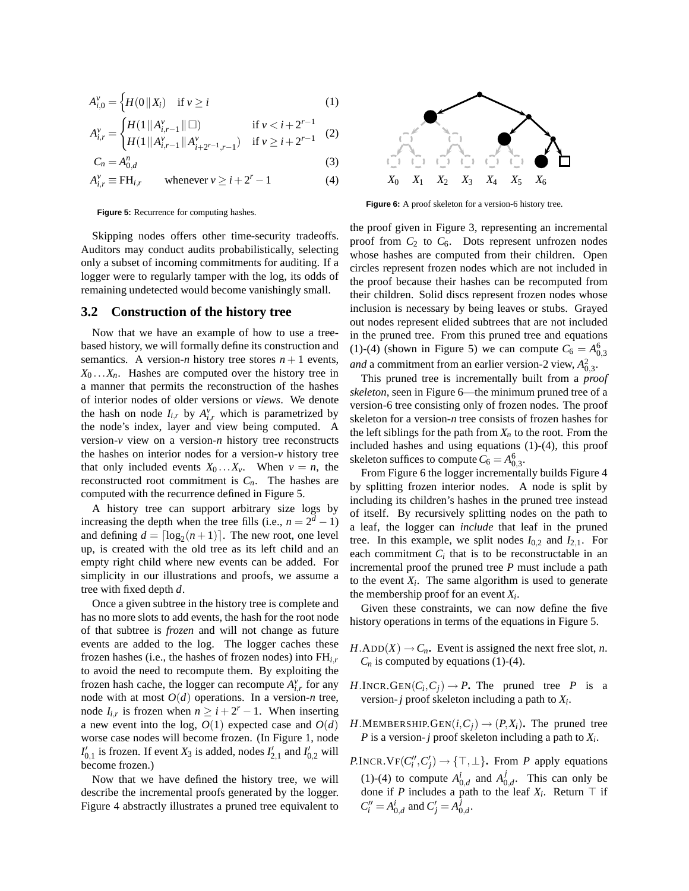$$
A_{i,0}^{\nu} = \left\{ H(0 \parallel X_i) \quad \text{if } \nu \ge i \right\} \tag{1}
$$

$$
A_{i,r}^{\nu} = \begin{cases} H(1 \, \| A_{i,r-1}^{\nu} \| \Box) & \text{if } \nu < i+2^{r-1} \\ H(1 \, \| A_{i,r-1}^{\nu} \| A_{i+2^{r-1},r-1}^{\nu}) & \text{if } \nu \ge i+2^{r-1} \end{cases} \tag{2}
$$

$$
C_n = A_{0,d}^n \tag{3}
$$

$$
A_{i,r}^{\nu} \equiv \text{FH}_{i,r} \qquad \text{whenever } \nu \ge i + 2^r - 1 \tag{4}
$$

**Figure 5:** Recurrence for computing hashes.

Skipping nodes offers other time-security tradeoffs. Auditors may conduct audits probabilistically, selecting only a subset of incoming commitments for auditing. If a logger were to regularly tamper with the log, its odds of remaining undetected would become vanishingly small.

#### **3.2 Construction of the history tree**

Now that we have an example of how to use a treebased history, we will formally define its construction and semantics. A version-*n* history tree stores  $n+1$  events,  $X_0 \ldots X_n$ . Hashes are computed over the history tree in a manner that permits the reconstruction of the hashes of interior nodes of older versions or *views*. We denote the hash on node  $I_{i,r}$  by  $A_{i,r}^{\nu}$  which is parametrized by the node's index, layer and view being computed. A version-*v* view on a version-*n* history tree reconstructs the hashes on interior nodes for a version-*v* history tree that only included events  $X_0 \dots X_\nu$ . When  $\nu = n$ , the reconstructed root commitment is  $C_n$ . The hashes are computed with the recurrence defined in Figure 5.

A history tree can support arbitrary size logs by increasing the depth when the tree fills (i.e.,  $n = 2<sup>d</sup> - 1$ ) and defining  $d = \lceil \log_2(n+1) \rceil$ . The new root, one level up, is created with the old tree as its left child and an empty right child where new events can be added. For simplicity in our illustrations and proofs, we assume a tree with fixed depth *d*.

Once a given subtree in the history tree is complete and has no more slots to add events, the hash for the root node of that subtree is *frozen* and will not change as future events are added to the log. The logger caches these frozen hashes (i.e., the hashes of frozen nodes) into FH*i*,*<sup>r</sup>* to avoid the need to recompute them. By exploiting the frozen hash cache, the logger can recompute  $A_{i,r}^v$  for any node with at most  $O(d)$  operations. In a version-*n* tree, node  $I_{i,r}$  is frozen when  $n \geq i + 2^r - 1$ . When inserting a new event into the log,  $O(1)$  expected case and  $O(d)$ worse case nodes will become frozen. (In Figure 1, node  $I'_{0,1}$  is frozen. If event  $X_3$  is added, nodes  $I'_{2,1}$  and  $I'_{0,2}$  will become frozen.)

Now that we have defined the history tree, we will describe the incremental proofs generated by the logger. Figure 4 abstractly illustrates a pruned tree equivalent to



**Figure 6:** A proof skeleton for a version-6 history tree.

the proof given in Figure 3, representing an incremental proof from  $C_2$  to  $C_6$ . Dots represent unfrozen nodes whose hashes are computed from their children. Open circles represent frozen nodes which are not included in the proof because their hashes can be recomputed from their children. Solid discs represent frozen nodes whose inclusion is necessary by being leaves or stubs. Grayed out nodes represent elided subtrees that are not included in the pruned tree. From this pruned tree and equations (1)-(4) (shown in Figure 5) we can compute  $C_6 = A_{0,3}^6$ *and* a commitment from an earlier version-2 view,  $A_{0,3}^2$ .

This pruned tree is incrementally built from a *proof skeleton*, seen in Figure 6—the minimum pruned tree of a version-6 tree consisting only of frozen nodes. The proof skeleton for a version-*n* tree consists of frozen hashes for the left siblings for the path from  $X_n$  to the root. From the included hashes and using equations (1)-(4), this proof skeleton suffices to compute  $C_6 = A_{0,3}^6$ .

From Figure 6 the logger incrementally builds Figure 4 by splitting frozen interior nodes. A node is split by including its children's hashes in the pruned tree instead of itself. By recursively splitting nodes on the path to a leaf, the logger can *include* that leaf in the pruned tree. In this example, we split nodes  $I_{0,2}$  and  $I_{2,1}$ . For each commitment  $C_i$  that is to be reconstructable in an incremental proof the pruned tree *P* must include a path to the event  $X_i$ . The same algorithm is used to generate the membership proof for an event *X<sup>i</sup>* .

Given these constraints, we can now define the five history operations in terms of the equations in Figure 5.

- $H$ .ADD $(X) \rightarrow C_n$ . Event is assigned the next free slot, *n*.  $C_n$  is computed by equations (1)-(4).
- $H.\text{INCR.GEN}(C_i, C_j) \rightarrow P$ . The pruned tree *P* is a version-*j* proof skeleton including a path to *X<sup>i</sup>* .
- *H*.MEMBERSHIP.GEN $(i, C_i) \rightarrow (P, X_i)$ . The pruned tree *P* is a version-*j* proof skeleton including a path to *X<sup>i</sup>* .
- *P*.INCR.VF $(C_i'', C_j') \rightarrow \{\top, \bot\}$ . From *P* apply equations (1)-(4) to compute  $A_{0,d}^i$  and  $A_0^j$  $_{0,d}^J$ . This can only be done if *P* includes a path to the leaf  $X_i$ . Return  $\top$  if  $C_i'' = A_{0,d}^i$  and  $C_j' = A_0^j$ 0,*d* .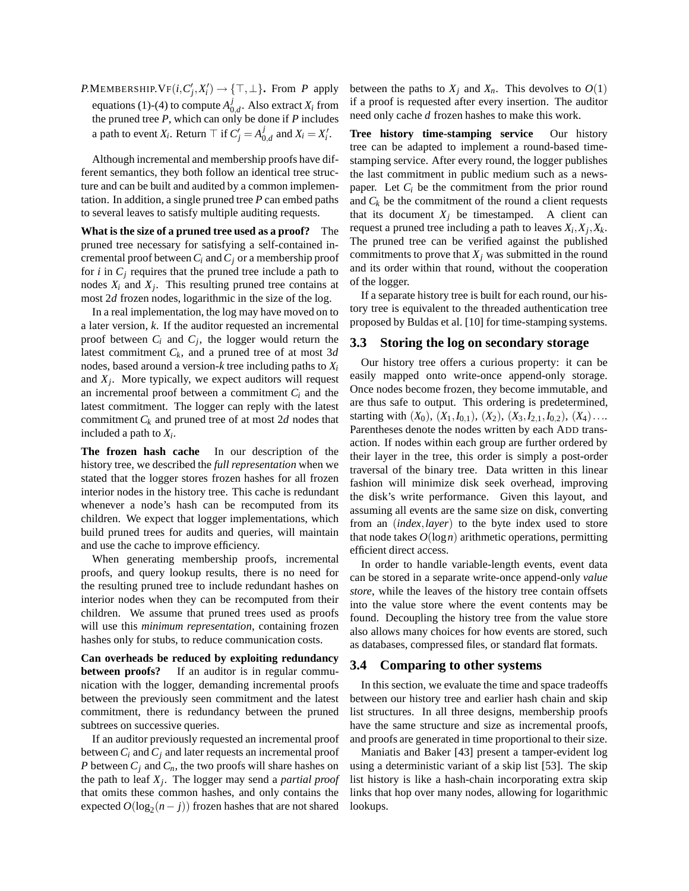$P$ .MEMBERSHIP.VF $(i, C'_j, X'_i) \rightarrow \{\top, \bot\}$ . From  $P$  apply equations (1)-(4) to compute  $A_0^j$  $\int_{0,d}^{J}$ . Also extract  $X_i$  from the pruned tree *P*, which can only be done if *P* includes a path to event *X<sub>i</sub>*. Return  $\top$  if  $C'_{j} = A_0^j$  $_{0,d}^{J}$  and  $X_i = X'_i$ .

Although incremental and membership proofs have different semantics, they both follow an identical tree structure and can be built and audited by a common implementation. In addition, a single pruned tree *P* can embed paths to several leaves to satisfy multiple auditing requests.

**What is the size of a pruned tree used as a proof?** The pruned tree necessary for satisfying a self-contained incremental proof between  $C_i$  and  $C_j$  or a membership proof for  $i$  in  $C_i$  requires that the pruned tree include a path to nodes  $X_i$  and  $X_j$ . This resulting pruned tree contains at most 2*d* frozen nodes, logarithmic in the size of the log.

In a real implementation, the log may have moved on to a later version, *k*. If the auditor requested an incremental proof between  $C_i$  and  $C_j$ , the logger would return the latest commitment *Ck*, and a pruned tree of at most 3*d* nodes, based around a version-*k* tree including paths to *X<sup>i</sup>* and *X<sup>j</sup>* . More typically, we expect auditors will request an incremental proof between a commitment  $C_i$  and the latest commitment. The logger can reply with the latest commitment  $C_k$  and pruned tree of at most 2*d* nodes that included a path to *X<sup>i</sup>* .

**The frozen hash cache** In our description of the history tree, we described the *full representation* when we stated that the logger stores frozen hashes for all frozen interior nodes in the history tree. This cache is redundant whenever a node's hash can be recomputed from its children. We expect that logger implementations, which build pruned trees for audits and queries, will maintain and use the cache to improve efficiency.

When generating membership proofs, incremental proofs, and query lookup results, there is no need for the resulting pruned tree to include redundant hashes on interior nodes when they can be recomputed from their children. We assume that pruned trees used as proofs will use this *minimum representation*, containing frozen hashes only for stubs, to reduce communication costs.

**Can overheads be reduced by exploiting redundancy between proofs?** If an auditor is in regular communication with the logger, demanding incremental proofs between the previously seen commitment and the latest commitment, there is redundancy between the pruned subtrees on successive queries.

If an auditor previously requested an incremental proof between  $C_i$  and  $C_j$  and later requests an incremental proof *P* between  $C_j$  and  $C_n$ , the two proofs will share hashes on the path to leaf *X<sup>j</sup>* . The logger may send a *partial proof* that omits these common hashes, and only contains the expected  $O(\log_2(n-j))$  frozen hashes that are not shared

between the paths to  $X_i$  and  $X_n$ . This devolves to  $O(1)$ if a proof is requested after every insertion. The auditor need only cache *d* frozen hashes to make this work.

**Tree history time-stamping service** Our history tree can be adapted to implement a round-based timestamping service. After every round, the logger publishes the last commitment in public medium such as a newspaper. Let  $C_i$  be the commitment from the prior round and  $C_k$  be the commitment of the round a client requests that its document  $X_j$  be timestamped. A client can request a pruned tree including a path to leaves *X<sup>i</sup>* ,*X<sup>j</sup>* ,*Xk*. The pruned tree can be verified against the published commitments to prove that  $X_i$  was submitted in the round and its order within that round, without the cooperation of the logger.

If a separate history tree is built for each round, our history tree is equivalent to the threaded authentication tree proposed by Buldas et al. [10] for time-stamping systems.

#### **3.3 Storing the log on secondary storage**

Our history tree offers a curious property: it can be easily mapped onto write-once append-only storage. Once nodes become frozen, they become immutable, and are thus safe to output. This ordering is predetermined, starting with  $(X_0)$ ,  $(X_1, I_{0,1})$ ,  $(X_2)$ ,  $(X_3, I_{2,1}, I_{0,2})$ ,  $(X_4)$ .... Parentheses denote the nodes written by each ADD transaction. If nodes within each group are further ordered by their layer in the tree, this order is simply a post-order traversal of the binary tree. Data written in this linear fashion will minimize disk seek overhead, improving the disk's write performance. Given this layout, and assuming all events are the same size on disk, converting from an (*index*,*layer*) to the byte index used to store that node takes  $O(\log n)$  arithmetic operations, permitting efficient direct access.

In order to handle variable-length events, event data can be stored in a separate write-once append-only *value store*, while the leaves of the history tree contain offsets into the value store where the event contents may be found. Decoupling the history tree from the value store also allows many choices for how events are stored, such as databases, compressed files, or standard flat formats.

#### **3.4 Comparing to other systems**

In this section, we evaluate the time and space tradeoffs between our history tree and earlier hash chain and skip list structures. In all three designs, membership proofs have the same structure and size as incremental proofs, and proofs are generated in time proportional to their size.

Maniatis and Baker [43] present a tamper-evident log using a deterministic variant of a skip list [53]. The skip list history is like a hash-chain incorporating extra skip links that hop over many nodes, allowing for logarithmic lookups.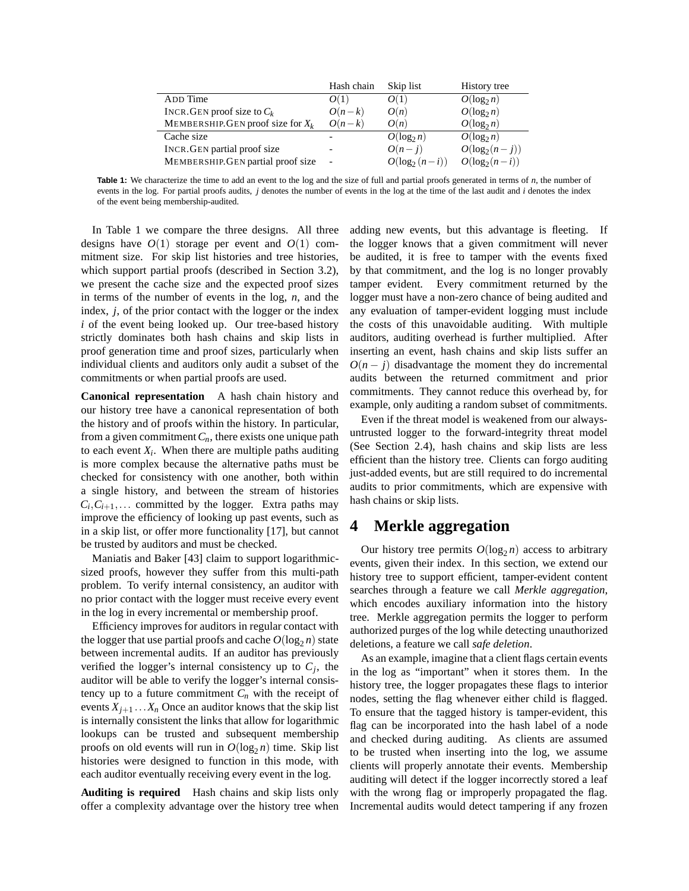|                                      | Hash chain | Skip list        | History tree     |
|--------------------------------------|------------|------------------|------------------|
| ADD Time                             | O(1)       | O(1)             | $O(\log_2 n)$    |
| INCR. GEN proof size to $C_k$        | $O(n-k)$   | O(n)             | $O(\log_2 n)$    |
| MEMBERSHIP. GEN proof size for $X_k$ | $O(n-k)$   | O(n)             | $O(\log_2 n)$    |
| Cache size                           |            | $O(\log_2 n)$    | $O(\log_2 n)$    |
| INCR. GEN partial proof size         |            | $O(n-j)$         | $O(\log_2(n-j))$ |
| MEMBERSHIP.GEN partial proof size    |            | $O(\log_2(n-i))$ | $O(\log_2(n-i))$ |

**Table 1:** We characterize the time to add an event to the log and the size of full and partial proofs generated in terms of *n*, the number of events in the log. For partial proofs audits, *j* denotes the number of events in the log at the time of the last audit and *i* denotes the index of the event being membership-audited.

In Table 1 we compare the three designs. All three designs have  $O(1)$  storage per event and  $O(1)$  commitment size. For skip list histories and tree histories, which support partial proofs (described in Section 3.2), we present the cache size and the expected proof sizes in terms of the number of events in the log, *n*, and the index, *j*, of the prior contact with the logger or the index *i* of the event being looked up. Our tree-based history strictly dominates both hash chains and skip lists in proof generation time and proof sizes, particularly when individual clients and auditors only audit a subset of the commitments or when partial proofs are used.

**Canonical representation** A hash chain history and our history tree have a canonical representation of both the history and of proofs within the history. In particular, from a given commitment*Cn*, there exists one unique path to each event  $X_i$ . When there are multiple paths auditing is more complex because the alternative paths must be checked for consistency with one another, both within a single history, and between the stream of histories  $C_i, C_{i+1}, \ldots$  committed by the logger. Extra paths may improve the efficiency of looking up past events, such as in a skip list, or offer more functionality [17], but cannot be trusted by auditors and must be checked.

Maniatis and Baker [43] claim to support logarithmicsized proofs, however they suffer from this multi-path problem. To verify internal consistency, an auditor with no prior contact with the logger must receive every event in the log in every incremental or membership proof.

Efficiency improves for auditors in regular contact with the logger that use partial proofs and cache  $O(\log_2 n)$  state between incremental audits. If an auditor has previously verified the logger's internal consistency up to  $C_j$ , the auditor will be able to verify the logger's internal consistency up to a future commitment  $C_n$  with the receipt of events  $X_{i+1}$ ... $X_n$  Once an auditor knows that the skip list is internally consistent the links that allow for logarithmic lookups can be trusted and subsequent membership proofs on old events will run in  $O(\log_2 n)$  time. Skip list histories were designed to function in this mode, with each auditor eventually receiving every event in the log.

**Auditing is required** Hash chains and skip lists only offer a complexity advantage over the history tree when

adding new events, but this advantage is fleeting. If the logger knows that a given commitment will never be audited, it is free to tamper with the events fixed by that commitment, and the log is no longer provably tamper evident. Every commitment returned by the logger must have a non-zero chance of being audited and any evaluation of tamper-evident logging must include the costs of this unavoidable auditing. With multiple auditors, auditing overhead is further multiplied. After inserting an event, hash chains and skip lists suffer an  $O(n - j)$  disadvantage the moment they do incremental audits between the returned commitment and prior commitments. They cannot reduce this overhead by, for example, only auditing a random subset of commitments.

Even if the threat model is weakened from our alwaysuntrusted logger to the forward-integrity threat model (See Section 2.4), hash chains and skip lists are less efficient than the history tree. Clients can forgo auditing just-added events, but are still required to do incremental audits to prior commitments, which are expensive with hash chains or skip lists.

# **4 Merkle aggregation**

Our history tree permits  $O(\log_2 n)$  access to arbitrary events, given their index. In this section, we extend our history tree to support efficient, tamper-evident content searches through a feature we call *Merkle aggregation*, which encodes auxiliary information into the history tree. Merkle aggregation permits the logger to perform authorized purges of the log while detecting unauthorized deletions, a feature we call *safe deletion*.

As an example, imagine that a client flags certain events in the log as "important" when it stores them. In the history tree, the logger propagates these flags to interior nodes, setting the flag whenever either child is flagged. To ensure that the tagged history is tamper-evident, this flag can be incorporated into the hash label of a node and checked during auditing. As clients are assumed to be trusted when inserting into the log, we assume clients will properly annotate their events. Membership auditing will detect if the logger incorrectly stored a leaf with the wrong flag or improperly propagated the flag. Incremental audits would detect tampering if any frozen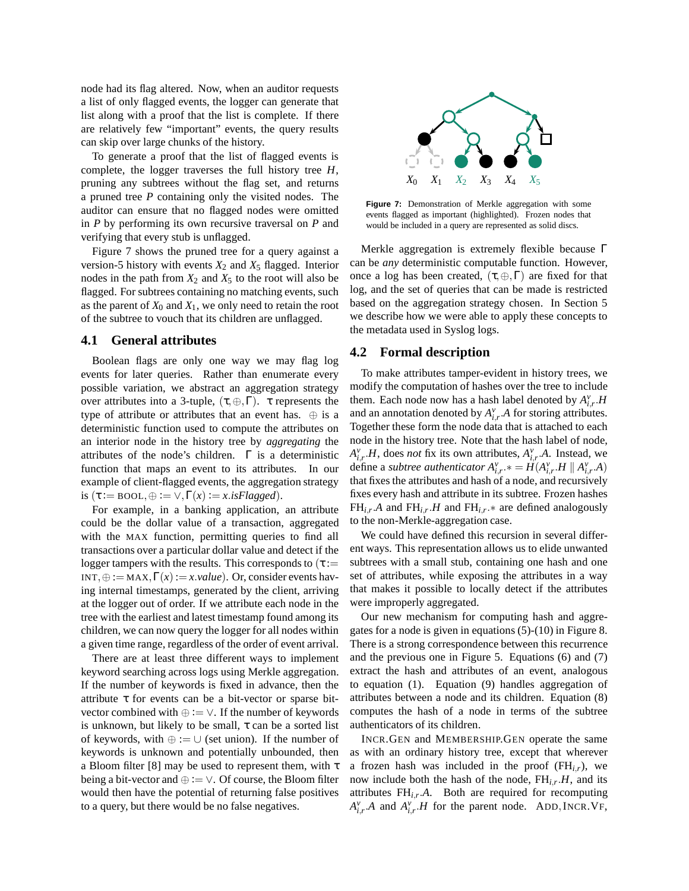node had its flag altered. Now, when an auditor requests a list of only flagged events, the logger can generate that list along with a proof that the list is complete. If there are relatively few "important" events, the query results can skip over large chunks of the history.

To generate a proof that the list of flagged events is complete, the logger traverses the full history tree *H*, pruning any subtrees without the flag set, and returns a pruned tree *P* containing only the visited nodes. The auditor can ensure that no flagged nodes were omitted in *P* by performing its own recursive traversal on *P* and verifying that every stub is unflagged.

Figure 7 shows the pruned tree for a query against a version-5 history with events  $X_2$  and  $X_5$  flagged. Interior nodes in the path from  $X_2$  and  $X_5$  to the root will also be flagged. For subtrees containing no matching events, such as the parent of  $X_0$  and  $X_1$ , we only need to retain the root of the subtree to vouch that its children are unflagged.

#### **4.1 General attributes**

Boolean flags are only one way we may flag log events for later queries. Rather than enumerate every possible variation, we abstract an aggregation strategy over attributes into a 3-tuple,  $(τ, ⊕, Γ)$ . τ represents the type of attribute or attributes that an event has.  $\oplus$  is a deterministic function used to compute the attributes on an interior node in the history tree by *aggregating* the attributes of the node's children.  $\Gamma$  is a deterministic function that maps an event to its attributes. In our example of client-flagged events, the aggregation strategy is  $(\tau := \text{Bool}, \oplus := \vee, \Gamma(x) := x \text{.} is Flagger.$ 

For example, in a banking application, an attribute could be the dollar value of a transaction, aggregated with the MAX function, permitting queries to find all transactions over a particular dollar value and detect if the logger tampers with the results. This corresponds to  $(\tau)$ : INT,  $\oplus :=$  MAX,  $\Gamma(x) := x.value$ ). Or, consider events having internal timestamps, generated by the client, arriving at the logger out of order. If we attribute each node in the tree with the earliest and latest timestamp found among its children, we can now query the logger for all nodes within a given time range, regardless of the order of event arrival.

There are at least three different ways to implement keyword searching across logs using Merkle aggregation. If the number of keywords is fixed in advance, then the attribute τ for events can be a bit-vector or sparse bitvector combined with  $\oplus := \vee$ . If the number of keywords is unknown, but likely to be small,  $\tau$  can be a sorted list of keywords, with  $\oplus := \cup$  (set union). If the number of keywords is unknown and potentially unbounded, then a Bloom filter [8] may be used to represent them, with  $\tau$ being a bit-vector and  $\oplus := \vee$ . Of course, the Bloom filter would then have the potential of returning false positives to a query, but there would be no false negatives.



Figure 7: Demonstration of Merkle aggregation with some events flagged as important (highlighted). Frozen nodes that would be included in a query are represented as solid discs.

Merkle aggregation is extremely flexible because Γ can be *any* deterministic computable function. However, once a log has been created,  $(\tau, \oplus, \Gamma)$  are fixed for that log, and the set of queries that can be made is restricted based on the aggregation strategy chosen. In Section 5 we describe how we were able to apply these concepts to the metadata used in Syslog logs.

#### **4.2 Formal description**

To make attributes tamper-evident in history trees, we modify the computation of hashes over the tree to include them. Each node now has a hash label denoted by  $A_{i,r}^v$ .*H* and an annotation denoted by  $A_{i,r}^{\gamma}$ . A for storing attributes. Together these form the node data that is attached to each node in the history tree. Note that the hash label of node,  $A_{i,r}^v$ .*H*, does *not* fix its own attributes,  $A_{i,r}^v$ .*A*. Instead, we define a *subtree authenticator*  $A_{i,r}^{\nu}$   $* = H(A_{i,r}^{\nu}, H \parallel A_{i,r}^{\nu}, A)$ that fixes the attributes and hash of a node, and recursively fixes every hash and attribute in its subtree. Frozen hashes  $FH_{i,r}$ .*A* and  $FH_{i,r}$ .*H* and  $FH_{i,r}$ .\* are defined analogously to the non-Merkle-aggregation case.

We could have defined this recursion in several different ways. This representation allows us to elide unwanted subtrees with a small stub, containing one hash and one set of attributes, while exposing the attributes in a way that makes it possible to locally detect if the attributes were improperly aggregated.

Our new mechanism for computing hash and aggregates for a node is given in equations (5)-(10) in Figure 8. There is a strong correspondence between this recurrence and the previous one in Figure 5. Equations (6) and (7) extract the hash and attributes of an event, analogous to equation (1). Equation (9) handles aggregation of attributes between a node and its children. Equation (8) computes the hash of a node in terms of the subtree authenticators of its children.

INCR.GEN and MEMBERSHIP.GEN operate the same as with an ordinary history tree, except that wherever a frozen hash was included in the proof  $(FH_{i,r})$ , we now include both the hash of the node, FH*i*,*<sup>r</sup>* .*H*, and its attributes FH*i*,*<sup>r</sup>* .*A*. Both are required for recomputing  $A_{i,r}^{\nu}$ .*A* and  $A_{i,r}^{\nu}$ .*H* for the parent node. ADD, INCR.VF,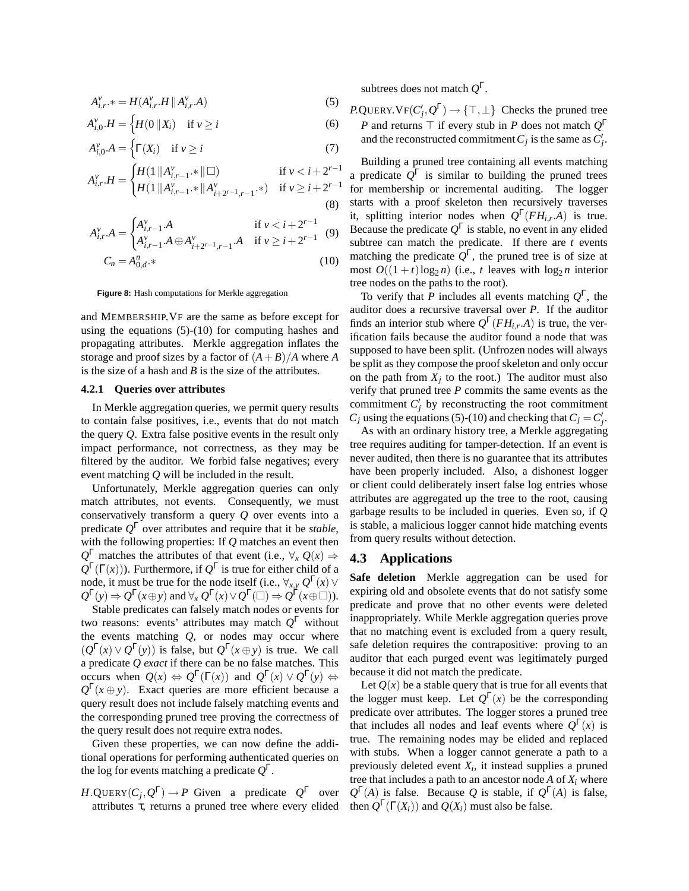$$
A_{i,r}^{\nu} * = H(A_{i,r}^{\nu} \cdot H \parallel A_{i,r}^{\nu} \cdot A)
$$
 (5)

$$
A_{i,0}^{\nu}.H = \begin{cases} H(0 \parallel X_i) & \text{if } \nu \ge i \end{cases} \tag{6}
$$

$$
A_{i,0}^{\nu} \cdot A = \begin{cases} \Gamma(X_i) & \text{if } \nu \ge i \end{cases}
$$
 (7)

$$
A_{i,r}^{\nu}.H = \begin{cases} H(1 \, \| \, A_{i,r-1}^{\nu}.* \, \| \, \square) & \text{if } \nu < i+2^{r-1} \\ H(1 \, \| \, A_{i,r-1}^{\nu}.* \, \| \, A_{i+2^{r-1},r-1}^{\nu}.* \,) & \text{if } \nu \geq i+2^{r-1} \end{cases} \tag{8}
$$

$$
A_{i,r}^{\nu}A = \begin{cases} A_{i,r-1}^{\nu}A & \text{if } \nu < i+2^{r-1} \\ A_{i,r-1}^{\nu}A \oplus A_{i+2^{r-1},r-1}^{\nu}A & \text{if } \nu \geq i+2^{r-1} \end{cases}
$$
(9)

$$
C_n = A_{0,d}^n. \tag{10}
$$

**Figure 8:** Hash computations for Merkle aggregation

and MEMBERSHIP.VF are the same as before except for using the equations (5)-(10) for computing hashes and propagating attributes. Merkle aggregation inflates the storage and proof sizes by a factor of  $(A + B)/A$  where *A* is the size of a hash and *B* is the size of the attributes.

#### **4.2.1 Queries over attributes**

In Merkle aggregation queries, we permit query results to contain false positives, i.e., events that do not match the query *Q*. Extra false positive events in the result only impact performance, not correctness, as they may be filtered by the auditor. We forbid false negatives; every event matching *Q* will be included in the result.

Unfortunately, Merkle aggregation queries can only match attributes, not events. Consequently, we must conservatively transform a query *Q* over events into a predicate *Q* <sup>Γ</sup> over attributes and require that it be *stable*, with the following properties: If *Q* matches an event then  $Q^{\Gamma}$  matches the attributes of that event (i.e.,  $\forall_{x} Q(x) \Rightarrow$  $Q^{\Gamma}(\Gamma(x))$ ). Furthermore, if  $Q^{\Gamma}$  is true for either child of a node, it must be true for the node itself (i.e.,  $\forall_{x,y} Q^{\Gamma}(x)$   $\vee$  $Q^{\Gamma}(y) \Rightarrow Q^{\Gamma}(x \oplus y)$  and  $\forall_x Q^{\Gamma}(x) \vee Q^{\Gamma}(\square) \Rightarrow Q^{\Gamma}(x \oplus \square)$ ).

Stable predicates can falsely match nodes or events for two reasons: events' attributes may match *Q* <sup>Γ</sup> without the events matching *Q*, or nodes may occur where  $(Q^{\Gamma}(x) \vee Q^{\Gamma}(y))$  is false, but  $Q^{\Gamma}(x \oplus y)$  is true. We call a predicate *Q exact* if there can be no false matches. This occurs when  $Q(x) \Leftrightarrow Q^{\Gamma}(\Gamma(x))$  and  $Q^{\Gamma}(x) \vee Q^{\Gamma}(y) \Leftrightarrow$  $Q^{\Gamma}(x \oplus y)$ . Exact queries are more efficient because a query result does not include falsely matching events and the corresponding pruned tree proving the correctness of the query result does not require extra nodes.

Given these properties, we can now define the additional operations for performing authenticated queries on the log for events matching a predicate *Q* Γ .

 $H.\text{QUERY}(C_j, Q^{\Gamma}) \to P$  Given a predicate  $Q^{\Gamma}$  over attributes τ, returns a pruned tree where every elided subtrees does not match *Q* Γ .

 $P$ .QUERY.  $VF(C'_j, Q^{\Gamma}) \rightarrow \{\top, \bot\}$  Checks the pruned tree *P* and returns ⊤ if every stub in *P* does not match *Q* Γ and the reconstructed commitment  $C_j$  is the same as  $C'_j$ .

Building a pruned tree containing all events matching a predicate  $Q^{\Gamma}$  is similar to building the pruned trees for membership or incremental auditing. The logger starts with a proof skeleton then recursively traverses it, splitting interior nodes when  $Q^{\Gamma}(FH_{i,r}.A)$  is true. Because the predicate  $Q^{\Gamma}$  is stable, no event in any elided subtree can match the predicate. If there are *t* events matching the predicate  $Q^{\Gamma}$ , the pruned tree is of size at most  $O((1 + t) \log_2 n)$  (i.e., *t* leaves with  $\log_2 n$  interior tree nodes on the paths to the root).

To verify that *P* includes all events matching *Q* Γ , the auditor does a recursive traversal over *P*. If the auditor finds an interior stub where  $Q^{\Gamma}(FH_{i,r}.A)$  is true, the verification fails because the auditor found a node that was supposed to have been split. (Unfrozen nodes will always be split as they compose the proof skeleton and only occur on the path from  $X_j$  to the root.) The auditor must also verify that pruned tree *P* commits the same events as the commitment  $C_j'$  by reconstructing the root commitment  $C_j$  using the equations (5)-(10) and checking that  $C_j = C'_j$ .

As with an ordinary history tree, a Merkle aggregating tree requires auditing for tamper-detection. If an event is never audited, then there is no guarantee that its attributes have been properly included. Also, a dishonest logger or client could deliberately insert false log entries whose attributes are aggregated up the tree to the root, causing garbage results to be included in queries. Even so, if *Q* is stable, a malicious logger cannot hide matching events from query results without detection.

#### **4.3 Applications**

**Safe deletion** Merkle aggregation can be used for expiring old and obsolete events that do not satisfy some predicate and prove that no other events were deleted inappropriately. While Merkle aggregation queries prove that no matching event is excluded from a query result, safe deletion requires the contrapositive: proving to an auditor that each purged event was legitimately purged because it did not match the predicate.

Let  $Q(x)$  be a stable query that is true for all events that the logger must keep. Let  $Q^{\Gamma}(x)$  be the corresponding predicate over attributes. The logger stores a pruned tree that includes all nodes and leaf events where  $Q^{\Gamma}(x)$  is true. The remaining nodes may be elided and replaced with stubs. When a logger cannot generate a path to a previously deleted event *X<sup>i</sup>* , it instead supplies a pruned tree that includes a path to an ancestor node  $A$  of  $X_i$  where  $Q^{\Gamma}(A)$  is false. Because *Q* is stable, if  $Q^{\Gamma}(A)$  is false, then  $Q^{\Gamma}(\Gamma(X_i))$  and  $Q(X_i)$  must also be false.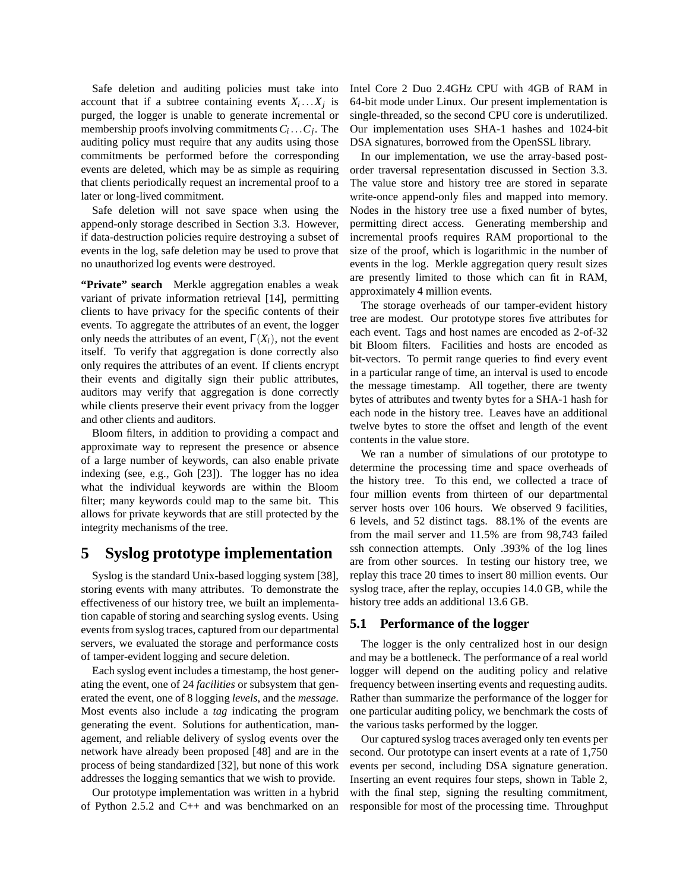Safe deletion and auditing policies must take into account that if a subtree containing events  $X_i \dots X_j$  is purged, the logger is unable to generate incremental or membership proofs involving commitments  $C_i \dots C_j$ . The auditing policy must require that any audits using those commitments be performed before the corresponding events are deleted, which may be as simple as requiring that clients periodically request an incremental proof to a later or long-lived commitment.

Safe deletion will not save space when using the append-only storage described in Section 3.3. However, if data-destruction policies require destroying a subset of events in the log, safe deletion may be used to prove that no unauthorized log events were destroyed.

**"Private" search** Merkle aggregation enables a weak variant of private information retrieval [14], permitting clients to have privacy for the specific contents of their events. To aggregate the attributes of an event, the logger only needs the attributes of an event,  $\Gamma(X_i)$ , not the event itself. To verify that aggregation is done correctly also only requires the attributes of an event. If clients encrypt their events and digitally sign their public attributes, auditors may verify that aggregation is done correctly while clients preserve their event privacy from the logger and other clients and auditors.

Bloom filters, in addition to providing a compact and approximate way to represent the presence or absence of a large number of keywords, can also enable private indexing (see, e.g., Goh [23]). The logger has no idea what the individual keywords are within the Bloom filter; many keywords could map to the same bit. This allows for private keywords that are still protected by the integrity mechanisms of the tree.

# **5 Syslog prototype implementation**

Syslog is the standard Unix-based logging system [38], storing events with many attributes. To demonstrate the effectiveness of our history tree, we built an implementation capable of storing and searching syslog events. Using events from syslog traces, captured from our departmental servers, we evaluated the storage and performance costs of tamper-evident logging and secure deletion.

Each syslog event includes a timestamp, the host generating the event, one of 24 *facilities* or subsystem that generated the event, one of 8 logging *levels*, and the *message*. Most events also include a *tag* indicating the program generating the event. Solutions for authentication, management, and reliable delivery of syslog events over the network have already been proposed [48] and are in the process of being standardized [32], but none of this work addresses the logging semantics that we wish to provide.

Our prototype implementation was written in a hybrid of Python 2.5.2 and C++ and was benchmarked on an Intel Core 2 Duo 2.4GHz CPU with 4GB of RAM in 64-bit mode under Linux. Our present implementation is single-threaded, so the second CPU core is underutilized. Our implementation uses SHA-1 hashes and 1024-bit DSA signatures, borrowed from the OpenSSL library.

In our implementation, we use the array-based postorder traversal representation discussed in Section 3.3. The value store and history tree are stored in separate write-once append-only files and mapped into memory. Nodes in the history tree use a fixed number of bytes, permitting direct access. Generating membership and incremental proofs requires RAM proportional to the size of the proof, which is logarithmic in the number of events in the log. Merkle aggregation query result sizes are presently limited to those which can fit in RAM, approximately 4 million events.

The storage overheads of our tamper-evident history tree are modest. Our prototype stores five attributes for each event. Tags and host names are encoded as 2-of-32 bit Bloom filters. Facilities and hosts are encoded as bit-vectors. To permit range queries to find every event in a particular range of time, an interval is used to encode the message timestamp. All together, there are twenty bytes of attributes and twenty bytes for a SHA-1 hash for each node in the history tree. Leaves have an additional twelve bytes to store the offset and length of the event contents in the value store.

We ran a number of simulations of our prototype to determine the processing time and space overheads of the history tree. To this end, we collected a trace of four million events from thirteen of our departmental server hosts over 106 hours. We observed 9 facilities, 6 levels, and 52 distinct tags. 88.1% of the events are from the mail server and 11.5% are from 98,743 failed ssh connection attempts. Only .393% of the log lines are from other sources. In testing our history tree, we replay this trace 20 times to insert 80 million events. Our syslog trace, after the replay, occupies 14.0 GB, while the history tree adds an additional 13.6 GB.

#### **5.1 Performance of the logger**

The logger is the only centralized host in our design and may be a bottleneck. The performance of a real world logger will depend on the auditing policy and relative frequency between inserting events and requesting audits. Rather than summarize the performance of the logger for one particular auditing policy, we benchmark the costs of the various tasks performed by the logger.

Our captured syslog traces averaged only ten events per second. Our prototype can insert events at a rate of 1,750 events per second, including DSA signature generation. Inserting an event requires four steps, shown in Table 2, with the final step, signing the resulting commitment, responsible for most of the processing time. Throughput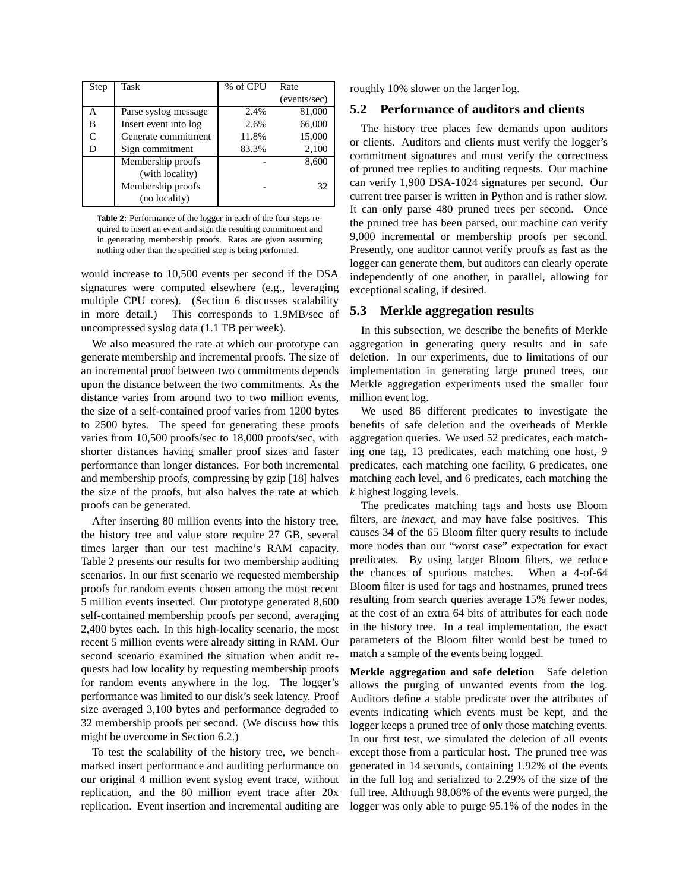| Step | Task                  | % of CPU | Rate         |
|------|-----------------------|----------|--------------|
|      |                       |          | (events/sec) |
| А    | Parse syslog message  | 2.4%     | 81,000       |
| В    | Insert event into log | 2.6%     | 66,000       |
|      | Generate commitment   | 11.8%    | 15,000       |
| D    | Sign commitment       | 83.3%    | 2,100        |
|      | Membership proofs     |          | 8,600        |
|      | (with locality)       |          |              |
|      | Membership proofs     |          | 32           |
|      | (no locality)         |          |              |

**Table 2:** Performance of the logger in each of the four steps required to insert an event and sign the resulting commitment and in generating membership proofs. Rates are given assuming nothing other than the specified step is being performed.

would increase to 10,500 events per second if the DSA signatures were computed elsewhere (e.g., leveraging multiple CPU cores). (Section 6 discusses scalability in more detail.) This corresponds to 1.9MB/sec of uncompressed syslog data (1.1 TB per week).

We also measured the rate at which our prototype can generate membership and incremental proofs. The size of an incremental proof between two commitments depends upon the distance between the two commitments. As the distance varies from around two to two million events, the size of a self-contained proof varies from 1200 bytes to 2500 bytes. The speed for generating these proofs varies from 10,500 proofs/sec to 18,000 proofs/sec, with shorter distances having smaller proof sizes and faster performance than longer distances. For both incremental and membership proofs, compressing by gzip [18] halves the size of the proofs, but also halves the rate at which proofs can be generated.

After inserting 80 million events into the history tree, the history tree and value store require 27 GB, several times larger than our test machine's RAM capacity. Table 2 presents our results for two membership auditing scenarios. In our first scenario we requested membership proofs for random events chosen among the most recent 5 million events inserted. Our prototype generated 8,600 self-contained membership proofs per second, averaging 2,400 bytes each. In this high-locality scenario, the most recent 5 million events were already sitting in RAM. Our second scenario examined the situation when audit requests had low locality by requesting membership proofs for random events anywhere in the log. The logger's performance was limited to our disk's seek latency. Proof size averaged 3,100 bytes and performance degraded to 32 membership proofs per second. (We discuss how this might be overcome in Section 6.2.)

To test the scalability of the history tree, we benchmarked insert performance and auditing performance on our original 4 million event syslog event trace, without replication, and the 80 million event trace after 20x replication. Event insertion and incremental auditing are roughly 10% slower on the larger log.

#### **5.2 Performance of auditors and clients**

The history tree places few demands upon auditors or clients. Auditors and clients must verify the logger's commitment signatures and must verify the correctness of pruned tree replies to auditing requests. Our machine can verify 1,900 DSA-1024 signatures per second. Our current tree parser is written in Python and is rather slow. It can only parse 480 pruned trees per second. Once the pruned tree has been parsed, our machine can verify 9,000 incremental or membership proofs per second. Presently, one auditor cannot verify proofs as fast as the logger can generate them, but auditors can clearly operate independently of one another, in parallel, allowing for exceptional scaling, if desired.

#### **5.3 Merkle aggregation results**

In this subsection, we describe the benefits of Merkle aggregation in generating query results and in safe deletion. In our experiments, due to limitations of our implementation in generating large pruned trees, our Merkle aggregation experiments used the smaller four million event log.

We used 86 different predicates to investigate the benefits of safe deletion and the overheads of Merkle aggregation queries. We used 52 predicates, each matching one tag, 13 predicates, each matching one host, 9 predicates, each matching one facility, 6 predicates, one matching each level, and 6 predicates, each matching the *k* highest logging levels.

The predicates matching tags and hosts use Bloom filters, are *inexact*, and may have false positives. This causes 34 of the 65 Bloom filter query results to include more nodes than our "worst case" expectation for exact predicates. By using larger Bloom filters, we reduce the chances of spurious matches. When a 4-of-64 Bloom filter is used for tags and hostnames, pruned trees resulting from search queries average 15% fewer nodes, at the cost of an extra 64 bits of attributes for each node in the history tree. In a real implementation, the exact parameters of the Bloom filter would best be tuned to match a sample of the events being logged.

**Merkle aggregation and safe deletion** Safe deletion allows the purging of unwanted events from the log. Auditors define a stable predicate over the attributes of events indicating which events must be kept, and the logger keeps a pruned tree of only those matching events. In our first test, we simulated the deletion of all events except those from a particular host. The pruned tree was generated in 14 seconds, containing 1.92% of the events in the full log and serialized to 2.29% of the size of the full tree. Although 98.08% of the events were purged, the logger was only able to purge 95.1% of the nodes in the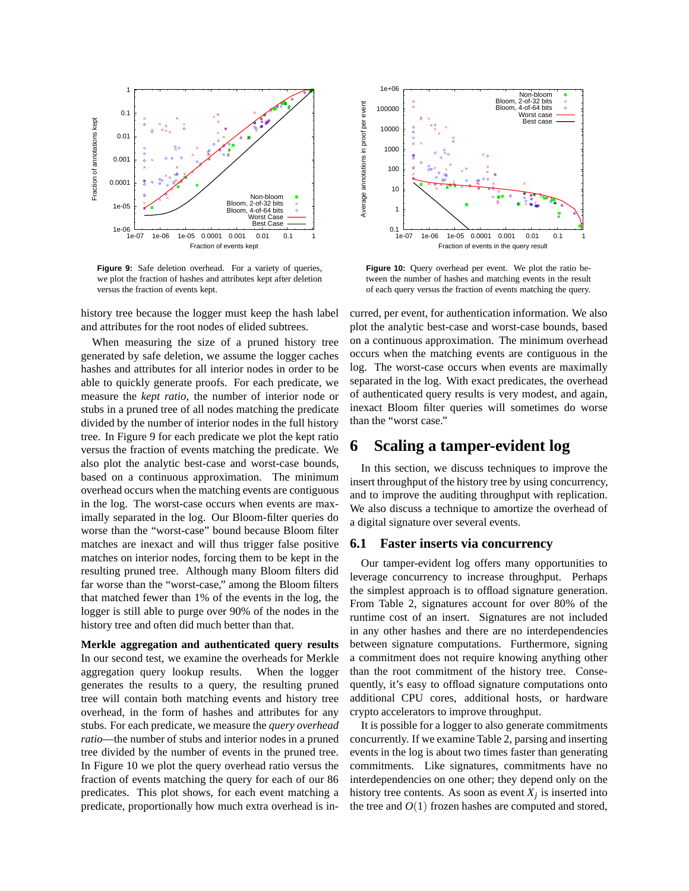

**Figure 9:** Safe deletion overhead. For a variety of queries, we plot the fraction of hashes and attributes kept after deletion versus the fraction of events kept.

history tree because the logger must keep the hash label and attributes for the root nodes of elided subtrees.

When measuring the size of a pruned history tree generated by safe deletion, we assume the logger caches hashes and attributes for all interior nodes in order to be able to quickly generate proofs. For each predicate, we measure the *kept ratio*, the number of interior node or stubs in a pruned tree of all nodes matching the predicate divided by the number of interior nodes in the full history tree. In Figure 9 for each predicate we plot the kept ratio versus the fraction of events matching the predicate. We also plot the analytic best-case and worst-case bounds, based on a continuous approximation. The minimum overhead occurs when the matching events are contiguous in the log. The worst-case occurs when events are maximally separated in the log. Our Bloom-filter queries do worse than the "worst-case" bound because Bloom filter matches are inexact and will thus trigger false positive matches on interior nodes, forcing them to be kept in the resulting pruned tree. Although many Bloom filters did far worse than the "worst-case," among the Bloom filters that matched fewer than 1% of the events in the log, the logger is still able to purge over 90% of the nodes in the history tree and often did much better than that.

**Merkle aggregation and authenticated query results** In our second test, we examine the overheads for Merkle aggregation query lookup results. When the logger generates the results to a query, the resulting pruned tree will contain both matching events and history tree overhead, in the form of hashes and attributes for any stubs. For each predicate, we measure the *query overhead ratio*—the number of stubs and interior nodes in a pruned tree divided by the number of events in the pruned tree. In Figure 10 we plot the query overhead ratio versus the fraction of events matching the query for each of our 86 predicates. This plot shows, for each event matching a predicate, proportionally how much extra overhead is in-



**Figure 10:** Ouery overhead per event. We plot the ratio between the number of hashes and matching events in the result of each query versus the fraction of events matching the query.

curred, per event, for authentication information. We also plot the analytic best-case and worst-case bounds, based on a continuous approximation. The minimum overhead occurs when the matching events are contiguous in the log. The worst-case occurs when events are maximally separated in the log. With exact predicates, the overhead of authenticated query results is very modest, and again, inexact Bloom filter queries will sometimes do worse than the "worst case."

## **6 Scaling a tamper-evident log**

In this section, we discuss techniques to improve the insert throughput of the history tree by using concurrency, and to improve the auditing throughput with replication. We also discuss a technique to amortize the overhead of a digital signature over several events.

#### **6.1 Faster inserts via concurrency**

Our tamper-evident log offers many opportunities to leverage concurrency to increase throughput. Perhaps the simplest approach is to offload signature generation. From Table 2, signatures account for over 80% of the runtime cost of an insert. Signatures are not included in any other hashes and there are no interdependencies between signature computations. Furthermore, signing a commitment does not require knowing anything other than the root commitment of the history tree. Consequently, it's easy to offload signature computations onto additional CPU cores, additional hosts, or hardware crypto accelerators to improve throughput.

It is possible for a logger to also generate commitments concurrently. If we examine Table 2, parsing and inserting events in the log is about two times faster than generating commitments. Like signatures, commitments have no interdependencies on one other; they depend only on the history tree contents. As soon as event  $X_j$  is inserted into the tree and  $O(1)$  frozen hashes are computed and stored,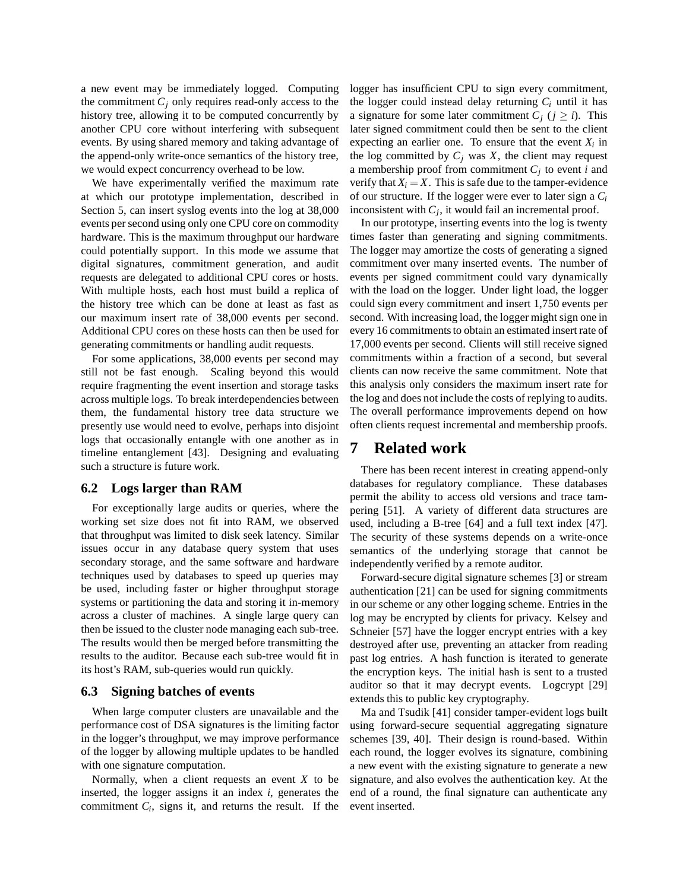a new event may be immediately logged. Computing the commitment  $C_i$  only requires read-only access to the history tree, allowing it to be computed concurrently by another CPU core without interfering with subsequent events. By using shared memory and taking advantage of the append-only write-once semantics of the history tree, we would expect concurrency overhead to be low.

We have experimentally verified the maximum rate at which our prototype implementation, described in Section 5, can insert syslog events into the log at 38,000 events per second using only one CPU core on commodity hardware. This is the maximum throughput our hardware could potentially support. In this mode we assume that digital signatures, commitment generation, and audit requests are delegated to additional CPU cores or hosts. With multiple hosts, each host must build a replica of the history tree which can be done at least as fast as our maximum insert rate of 38,000 events per second. Additional CPU cores on these hosts can then be used for generating commitments or handling audit requests.

For some applications, 38,000 events per second may still not be fast enough. Scaling beyond this would require fragmenting the event insertion and storage tasks across multiple logs. To break interdependencies between them, the fundamental history tree data structure we presently use would need to evolve, perhaps into disjoint logs that occasionally entangle with one another as in timeline entanglement [43]. Designing and evaluating such a structure is future work.

#### **6.2 Logs larger than RAM**

For exceptionally large audits or queries, where the working set size does not fit into RAM, we observed that throughput was limited to disk seek latency. Similar issues occur in any database query system that uses secondary storage, and the same software and hardware techniques used by databases to speed up queries may be used, including faster or higher throughput storage systems or partitioning the data and storing it in-memory across a cluster of machines. A single large query can then be issued to the cluster node managing each sub-tree. The results would then be merged before transmitting the results to the auditor. Because each sub-tree would fit in its host's RAM, sub-queries would run quickly.

#### **6.3 Signing batches of events**

When large computer clusters are unavailable and the performance cost of DSA signatures is the limiting factor in the logger's throughput, we may improve performance of the logger by allowing multiple updates to be handled with one signature computation.

Normally, when a client requests an event *X* to be inserted, the logger assigns it an index *i*, generates the commitment  $C_i$ , signs it, and returns the result. If the

logger has insufficient CPU to sign every commitment, the logger could instead delay returning  $C_i$  until it has a signature for some later commitment  $C_i$  ( $j \ge i$ ). This later signed commitment could then be sent to the client expecting an earlier one. To ensure that the event  $X_i$  in the log committed by  $C_i$  was  $X$ , the client may request a membership proof from commitment *C<sup>j</sup>* to event *i* and verify that  $X_i = X$ . This is safe due to the tamper-evidence of our structure. If the logger were ever to later sign a *C<sup>i</sup>* inconsistent with  $C_j$ , it would fail an incremental proof.

In our prototype, inserting events into the log is twenty times faster than generating and signing commitments. The logger may amortize the costs of generating a signed commitment over many inserted events. The number of events per signed commitment could vary dynamically with the load on the logger. Under light load, the logger could sign every commitment and insert 1,750 events per second. With increasing load, the logger might sign one in every 16 commitments to obtain an estimated insert rate of 17,000 events per second. Clients will still receive signed commitments within a fraction of a second, but several clients can now receive the same commitment. Note that this analysis only considers the maximum insert rate for the log and does not include the costs of replying to audits. The overall performance improvements depend on how often clients request incremental and membership proofs.

### **7 Related work**

There has been recent interest in creating append-only databases for regulatory compliance. These databases permit the ability to access old versions and trace tampering [51]. A variety of different data structures are used, including a B-tree [64] and a full text index [47]. The security of these systems depends on a write-once semantics of the underlying storage that cannot be independently verified by a remote auditor.

Forward-secure digital signature schemes [3] or stream authentication [21] can be used for signing commitments in our scheme or any other logging scheme. Entries in the log may be encrypted by clients for privacy. Kelsey and Schneier [57] have the logger encrypt entries with a key destroyed after use, preventing an attacker from reading past log entries. A hash function is iterated to generate the encryption keys. The initial hash is sent to a trusted auditor so that it may decrypt events. Logcrypt [29] extends this to public key cryptography.

Ma and Tsudik [41] consider tamper-evident logs built using forward-secure sequential aggregating signature schemes [39, 40]. Their design is round-based. Within each round, the logger evolves its signature, combining a new event with the existing signature to generate a new signature, and also evolves the authentication key. At the end of a round, the final signature can authenticate any event inserted.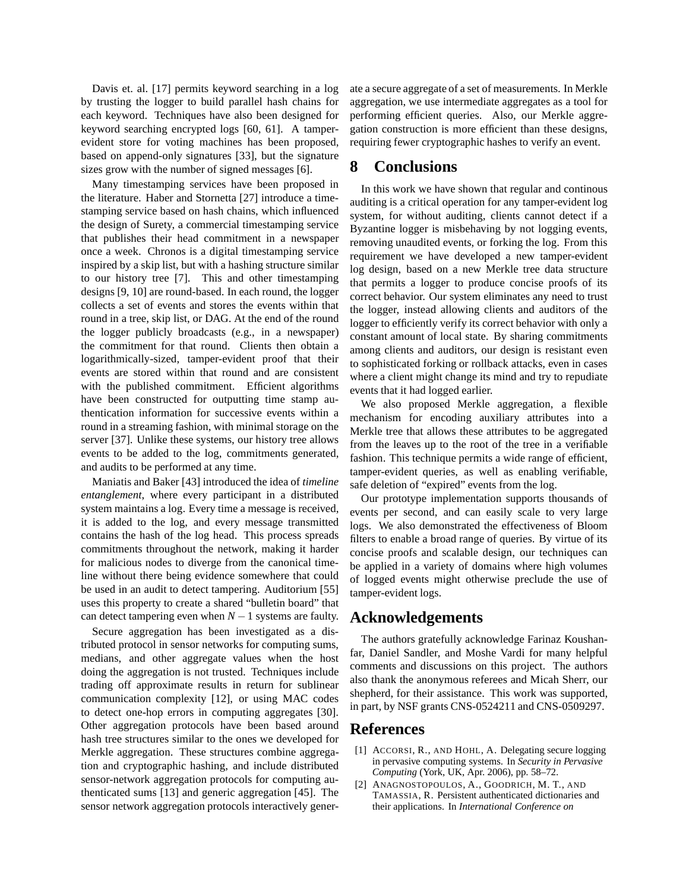Davis et. al. [17] permits keyword searching in a log by trusting the logger to build parallel hash chains for each keyword. Techniques have also been designed for keyword searching encrypted logs [60, 61]. A tamperevident store for voting machines has been proposed, based on append-only signatures [33], but the signature sizes grow with the number of signed messages [6].

Many timestamping services have been proposed in the literature. Haber and Stornetta [27] introduce a timestamping service based on hash chains, which influenced the design of Surety, a commercial timestamping service that publishes their head commitment in a newspaper once a week. Chronos is a digital timestamping service inspired by a skip list, but with a hashing structure similar to our history tree [7]. This and other timestamping designs [9, 10] are round-based. In each round, the logger collects a set of events and stores the events within that round in a tree, skip list, or DAG. At the end of the round the logger publicly broadcasts (e.g., in a newspaper) the commitment for that round. Clients then obtain a logarithmically-sized, tamper-evident proof that their events are stored within that round and are consistent with the published commitment. Efficient algorithms have been constructed for outputting time stamp authentication information for successive events within a round in a streaming fashion, with minimal storage on the server [37]. Unlike these systems, our history tree allows events to be added to the log, commitments generated, and audits to be performed at any time.

Maniatis and Baker [43] introduced the idea of *timeline entanglement*, where every participant in a distributed system maintains a log. Every time a message is received, it is added to the log, and every message transmitted contains the hash of the log head. This process spreads commitments throughout the network, making it harder for malicious nodes to diverge from the canonical timeline without there being evidence somewhere that could be used in an audit to detect tampering. Auditorium [55] uses this property to create a shared "bulletin board" that can detect tampering even when  $N-1$  systems are faulty.

Secure aggregation has been investigated as a distributed protocol in sensor networks for computing sums, medians, and other aggregate values when the host doing the aggregation is not trusted. Techniques include trading off approximate results in return for sublinear communication complexity [12], or using MAC codes to detect one-hop errors in computing aggregates [30]. Other aggregation protocols have been based around hash tree structures similar to the ones we developed for Merkle aggregation. These structures combine aggregation and cryptographic hashing, and include distributed sensor-network aggregation protocols for computing authenticated sums [13] and generic aggregation [45]. The sensor network aggregation protocols interactively generate a secure aggregate of a set of measurements. In Merkle aggregation, we use intermediate aggregates as a tool for performing efficient queries. Also, our Merkle aggregation construction is more efficient than these designs, requiring fewer cryptographic hashes to verify an event.

# **8 Conclusions**

In this work we have shown that regular and continous auditing is a critical operation for any tamper-evident log system, for without auditing, clients cannot detect if a Byzantine logger is misbehaving by not logging events, removing unaudited events, or forking the log. From this requirement we have developed a new tamper-evident log design, based on a new Merkle tree data structure that permits a logger to produce concise proofs of its correct behavior. Our system eliminates any need to trust the logger, instead allowing clients and auditors of the logger to efficiently verify its correct behavior with only a constant amount of local state. By sharing commitments among clients and auditors, our design is resistant even to sophisticated forking or rollback attacks, even in cases where a client might change its mind and try to repudiate events that it had logged earlier.

We also proposed Merkle aggregation, a flexible mechanism for encoding auxiliary attributes into a Merkle tree that allows these attributes to be aggregated from the leaves up to the root of the tree in a verifiable fashion. This technique permits a wide range of efficient, tamper-evident queries, as well as enabling verifiable, safe deletion of "expired" events from the log.

Our prototype implementation supports thousands of events per second, and can easily scale to very large logs. We also demonstrated the effectiveness of Bloom filters to enable a broad range of queries. By virtue of its concise proofs and scalable design, our techniques can be applied in a variety of domains where high volumes of logged events might otherwise preclude the use of tamper-evident logs.

# **Acknowledgements**

The authors gratefully acknowledge Farinaz Koushanfar, Daniel Sandler, and Moshe Vardi for many helpful comments and discussions on this project. The authors also thank the anonymous referees and Micah Sherr, our shepherd, for their assistance. This work was supported, in part, by NSF grants CNS-0524211 and CNS-0509297.

# **References**

- [1] ACCORSI, R., AND HOHL, A. Delegating secure logging in pervasive computing systems. In *Security in Pervasive Computing* (York, UK, Apr. 2006), pp. 58–72.
- [2] ANAGNOSTOPOULOS, A., GOODRICH, M. T., AND TAMASSIA, R. Persistent authenticated dictionaries and their applications. In *International Conference on*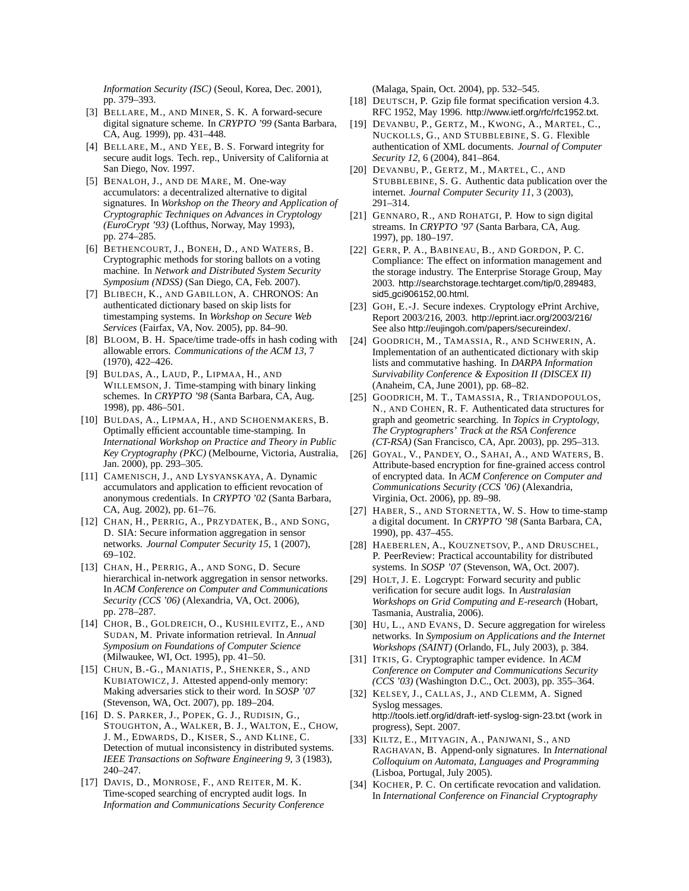*Information Security (ISC)* (Seoul, Korea, Dec. 2001), pp. 379–393.

- [3] BELLARE, M., AND MINER, S. K. A forward-secure digital signature scheme. In *CRYPTO '99* (Santa Barbara, CA, Aug. 1999), pp. 431–448.
- [4] BELLARE, M., AND YEE, B. S. Forward integrity for secure audit logs. Tech. rep., University of California at San Diego, Nov. 1997.
- [5] BENALOH, J., AND DE MARE, M. One-way accumulators: a decentralized alternative to digital signatures. In *Workshop on the Theory and Application of Cryptographic Techniques on Advances in Cryptology (EuroCrypt '93)* (Lofthus, Norway, May 1993), pp. 274–285.
- [6] BETHENCOURT, J., BONEH, D., AND WATERS, B. Cryptographic methods for storing ballots on a voting machine. In *Network and Distributed System Security Symposium (NDSS)* (San Diego, CA, Feb. 2007).
- [7] BLIBECH, K., AND GABILLON, A. CHRONOS: An authenticated dictionary based on skip lists for timestamping systems. In *Workshop on Secure Web Services* (Fairfax, VA, Nov. 2005), pp. 84–90.
- [8] BLOOM, B. H. Space/time trade-offs in hash coding with allowable errors. *Communications of the ACM 13*, 7 (1970), 422–426.
- [9] BULDAS, A., LAUD, P., LIPMAA, H., AND WILLEMSON, J. Time-stamping with binary linking schemes. In *CRYPTO '98* (Santa Barbara, CA, Aug. 1998), pp. 486–501.
- [10] BULDAS, A., LIPMAA, H., AND SCHOENMAKERS, B. Optimally efficient accountable time-stamping. In *International Workshop on Practice and Theory in Public Key Cryptography (PKC)* (Melbourne, Victoria, Australia, Jan. 2000), pp. 293–305.
- [11] CAMENISCH, J., AND LYSYANSKAYA, A. Dynamic accumulators and application to efficient revocation of anonymous credentials. In *CRYPTO '02* (Santa Barbara, CA, Aug. 2002), pp. 61–76.
- [12] CHAN, H., PERRIG, A., PRZYDATEK, B., AND SONG, D. SIA: Secure information aggregation in sensor networks. *Journal Computer Security 15*, 1 (2007), 69–102.
- [13] CHAN, H., PERRIG, A., AND SONG, D. Secure hierarchical in-network aggregation in sensor networks. In *ACM Conference on Computer and Communications Security (CCS '06)* (Alexandria, VA, Oct. 2006), pp. 278–287.
- [14] CHOR, B., GOLDREICH, O., KUSHILEVITZ, E., AND SUDAN, M. Private information retrieval. In *Annual Symposium on Foundations of Computer Science* (Milwaukee, WI, Oct. 1995), pp. 41–50.
- [15] CHUN, B.-G., MANIATIS, P., SHENKER, S., AND KUBIATOWICZ, J. Attested append-only memory: Making adversaries stick to their word. In *SOSP '07* (Stevenson, WA, Oct. 2007), pp. 189–204.
- [16] D. S. PARKER, J., POPEK, G. J., RUDISIN, G., STOUGHTON, A., WALKER, B. J., WALTON, E., CHOW, J. M., EDWARDS, D., KISER, S., AND KLINE, C. Detection of mutual inconsistency in distributed systems. *IEEE Transactions on Software Engineering 9*, 3 (1983), 240–247.
- [17] DAVIS, D., MONROSE, F., AND REITER, M. K. Time-scoped searching of encrypted audit logs. In *Information and Communications Security Conference*

(Malaga, Spain, Oct. 2004), pp. 532–545.

- [18] DEUTSCH, P. Gzip file format specification version 4.3. RFC 1952, May 1996. http://www.ietf.org/rfc/rfc1952.txt.
- [19] DEVANBU, P., GERTZ, M., KWONG, A., MARTEL, C., NUCKOLLS, G., AND STUBBLEBINE, S. G. Flexible authentication of XML documents. *Journal of Computer Security 12*, 6 (2004), 841–864.
- [20] DEVANBU, P., GERTZ, M., MARTEL, C., AND STUBBLEBINE, S. G. Authentic data publication over the internet. *Journal Computer Security 11*, 3 (2003), 291–314.
- [21] GENNARO, R., AND ROHATGI, P. How to sign digital streams. In *CRYPTO '97* (Santa Barbara, CA, Aug. 1997), pp. 180–197.
- [22] GERR, P. A., BABINEAU, B., AND GORDON, P. C. Compliance: The effect on information management and the storage industry. The Enterprise Storage Group, May 2003. http://searchstorage.techtarget.com/tip/0,289483, sid5 gci906152,00.html.
- [23] GOH, E.-J. Secure indexes. Cryptology ePrint Archive, Report 2003/216, 2003. http://eprint.iacr.org/2003/216/ See also http://eujingoh.com/papers/secureindex/.
- [24] GOODRICH, M., TAMASSIA, R., AND SCHWERIN, A. Implementation of an authenticated dictionary with skip lists and commutative hashing. In *DARPA Information Survivability Conference & Exposition II (DISCEX II)* (Anaheim, CA, June 2001), pp. 68–82.
- [25] GOODRICH, M. T., TAMASSIA, R., TRIANDOPOULOS, N., AND COHEN, R. F. Authenticated data structures for graph and geometric searching. In *Topics in Cryptology, The Cryptographers' Track at the RSA Conference (CT-RSA)* (San Francisco, CA, Apr. 2003), pp. 295–313.
- [26] GOYAL, V., PANDEY, O., SAHAI, A., AND WATERS, B. Attribute-based encryption for fine-grained access control of encrypted data. In *ACM Conference on Computer and Communications Security (CCS '06)* (Alexandria, Virginia, Oct. 2006), pp. 89–98.
- [27] HABER, S., AND STORNETTA, W. S. How to time-stamp a digital document. In *CRYPTO '98* (Santa Barbara, CA, 1990), pp. 437–455.
- [28] HAEBERLEN, A., KOUZNETSOV, P., AND DRUSCHEL, P. PeerReview: Practical accountability for distributed systems. In *SOSP '07* (Stevenson, WA, Oct. 2007).
- [29] HOLT, J. E. Logcrypt: Forward security and public verification for secure audit logs. In *Australasian Workshops on Grid Computing and E-research* (Hobart, Tasmania, Australia, 2006).
- [30] HU, L., AND EVANS, D. Secure aggregation for wireless networks. In *Symposium on Applications and the Internet Workshops (SAINT)* (Orlando, FL, July 2003), p. 384.
- [31] ITKIS, G. Cryptographic tamper evidence. In *ACM Conference on Computer and Communications Security (CCS '03)* (Washington D.C., Oct. 2003), pp. 355–364.
- [32] KELSEY, J., CALLAS, J., AND CLEMM, A. Signed Syslog messages. http://tools.ietf.org/id/draft-ietf-syslog-sign-23.txt (work in progress), Sept. 2007.
- [33] KILTZ, E., MITYAGIN, A., PANJWANI, S., AND RAGHAVAN, B. Append-only signatures. In *International Colloquium on Automata, Languages and Programming* (Lisboa, Portugal, July 2005).
- [34] KOCHER, P. C. On certificate revocation and validation. In *International Conference on Financial Cryptography*